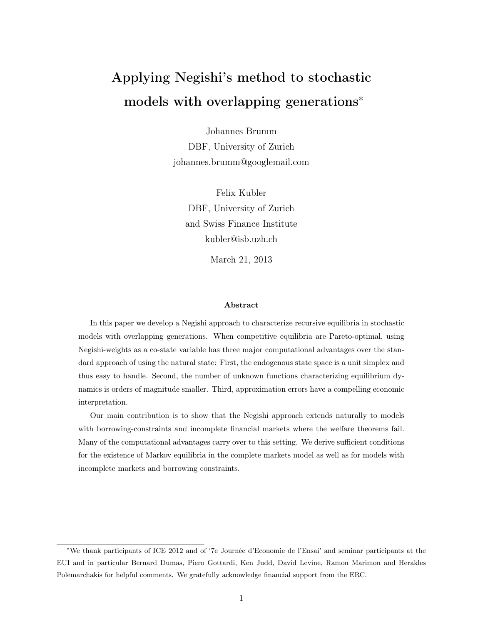# Applying Negishi's method to stochastic models with overlapping generations<sup>∗</sup>

Johannes Brumm DBF, University of Zurich johannes.brumm@googlemail.com

Felix Kubler DBF, University of Zurich and Swiss Finance Institute kubler@isb.uzh.ch

March 21, 2013

## Abstract

In this paper we develop a Negishi approach to characterize recursive equilibria in stochastic models with overlapping generations. When competitive equilibria are Pareto-optimal, using Negishi-weights as a co-state variable has three major computational advantages over the standard approach of using the natural state: First, the endogenous state space is a unit simplex and thus easy to handle. Second, the number of unknown functions characterizing equilibrium dynamics is orders of magnitude smaller. Third, approximation errors have a compelling economic interpretation.

Our main contribution is to show that the Negishi approach extends naturally to models with borrowing-constraints and incomplete financial markets where the welfare theorems fail. Many of the computational advantages carry over to this setting. We derive sufficient conditions for the existence of Markov equilibria in the complete markets model as well as for models with incomplete markets and borrowing constraints.

<sup>∗</sup>We thank participants of ICE 2012 and of '7e Journée d'Economie de l'Ensai' and seminar participants at the EUI and in particular Bernard Dumas, Piero Gottardi, Ken Judd, David Levine, Ramon Marimon and Herakles Polemarchakis for helpful comments. We gratefully acknowledge financial support from the ERC.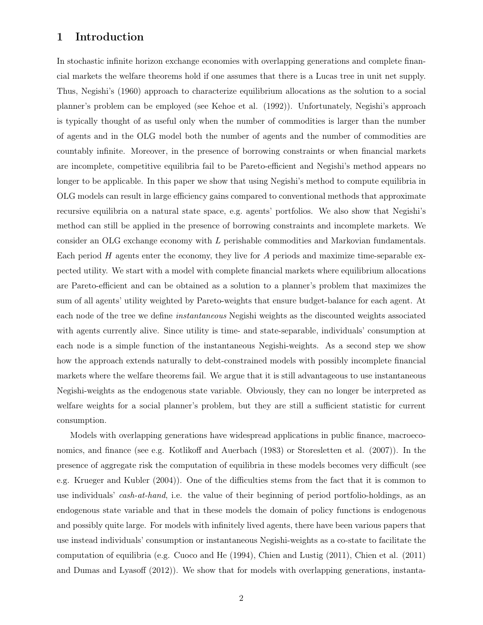# 1 Introduction

In stochastic infinite horizon exchange economies with overlapping generations and complete financial markets the welfare theorems hold if one assumes that there is a Lucas tree in unit net supply. Thus, Negishi's (1960) approach to characterize equilibrium allocations as the solution to a social planner's problem can be employed (see Kehoe et al. (1992)). Unfortunately, Negishi's approach is typically thought of as useful only when the number of commodities is larger than the number of agents and in the OLG model both the number of agents and the number of commodities are countably infinite. Moreover, in the presence of borrowing constraints or when financial markets are incomplete, competitive equilibria fail to be Pareto-efficient and Negishi's method appears no longer to be applicable. In this paper we show that using Negishi's method to compute equilibria in OLG models can result in large efficiency gains compared to conventional methods that approximate recursive equilibria on a natural state space, e.g. agents' portfolios. We also show that Negishi's method can still be applied in the presence of borrowing constraints and incomplete markets. We consider an OLG exchange economy with L perishable commodities and Markovian fundamentals. Each period  $H$  agents enter the economy, they live for  $A$  periods and maximize time-separable expected utility. We start with a model with complete financial markets where equilibrium allocations are Pareto-efficient and can be obtained as a solution to a planner's problem that maximizes the sum of all agents' utility weighted by Pareto-weights that ensure budget-balance for each agent. At each node of the tree we define instantaneous Negishi weights as the discounted weights associated with agents currently alive. Since utility is time- and state-separable, individuals' consumption at each node is a simple function of the instantaneous Negishi-weights. As a second step we show how the approach extends naturally to debt-constrained models with possibly incomplete financial markets where the welfare theorems fail. We argue that it is still advantageous to use instantaneous Negishi-weights as the endogenous state variable. Obviously, they can no longer be interpreted as welfare weights for a social planner's problem, but they are still a sufficient statistic for current consumption.

Models with overlapping generations have widespread applications in public finance, macroeconomics, and finance (see e.g. Kotlikoff and Auerbach (1983) or Storesletten et al. (2007)). In the presence of aggregate risk the computation of equilibria in these models becomes very difficult (see e.g. Krueger and Kubler (2004)). One of the difficulties stems from the fact that it is common to use individuals' cash-at-hand, i.e. the value of their beginning of period portfolio-holdings, as an endogenous state variable and that in these models the domain of policy functions is endogenous and possibly quite large. For models with infinitely lived agents, there have been various papers that use instead individuals' consumption or instantaneous Negishi-weights as a co-state to facilitate the computation of equilibria (e.g. Cuoco and He (1994), Chien and Lustig (2011), Chien et al. (2011) and Dumas and Lyasoff (2012)). We show that for models with overlapping generations, instanta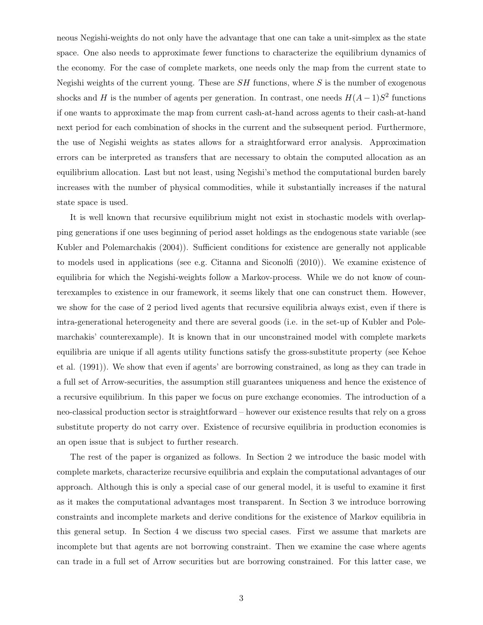neous Negishi-weights do not only have the advantage that one can take a unit-simplex as the state space. One also needs to approximate fewer functions to characterize the equilibrium dynamics of the economy. For the case of complete markets, one needs only the map from the current state to Negishi weights of the current young. These are  $SH$  functions, where  $S$  is the number of exogenous shocks and H is the number of agents per generation. In contrast, one needs  $H(A-1)S^2$  functions if one wants to approximate the map from current cash-at-hand across agents to their cash-at-hand next period for each combination of shocks in the current and the subsequent period. Furthermore, the use of Negishi weights as states allows for a straightforward error analysis. Approximation errors can be interpreted as transfers that are necessary to obtain the computed allocation as an equilibrium allocation. Last but not least, using Negishi's method the computational burden barely increases with the number of physical commodities, while it substantially increases if the natural state space is used.

It is well known that recursive equilibrium might not exist in stochastic models with overlapping generations if one uses beginning of period asset holdings as the endogenous state variable (see Kubler and Polemarchakis (2004)). Sufficient conditions for existence are generally not applicable to models used in applications (see e.g. Citanna and Siconolfi (2010)). We examine existence of equilibria for which the Negishi-weights follow a Markov-process. While we do not know of counterexamples to existence in our framework, it seems likely that one can construct them. However, we show for the case of 2 period lived agents that recursive equilibria always exist, even if there is intra-generational heterogeneity and there are several goods (i.e. in the set-up of Kubler and Polemarchakis' counterexample). It is known that in our unconstrained model with complete markets equilibria are unique if all agents utility functions satisfy the gross-substitute property (see Kehoe et al. (1991)). We show that even if agents' are borrowing constrained, as long as they can trade in a full set of Arrow-securities, the assumption still guarantees uniqueness and hence the existence of a recursive equilibrium. In this paper we focus on pure exchange economies. The introduction of a neo-classical production sector is straightforward – however our existence results that rely on a gross substitute property do not carry over. Existence of recursive equilibria in production economies is an open issue that is subject to further research.

The rest of the paper is organized as follows. In Section 2 we introduce the basic model with complete markets, characterize recursive equilibria and explain the computational advantages of our approach. Although this is only a special case of our general model, it is useful to examine it first as it makes the computational advantages most transparent. In Section 3 we introduce borrowing constraints and incomplete markets and derive conditions for the existence of Markov equilibria in this general setup. In Section 4 we discuss two special cases. First we assume that markets are incomplete but that agents are not borrowing constraint. Then we examine the case where agents can trade in a full set of Arrow securities but are borrowing constrained. For this latter case, we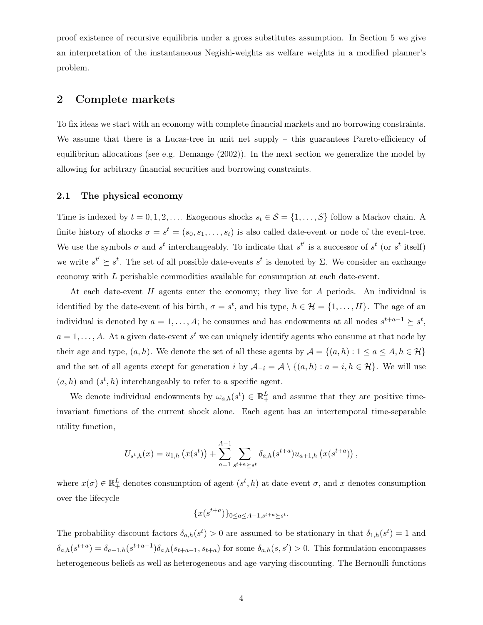proof existence of recursive equilibria under a gross substitutes assumption. In Section 5 we give an interpretation of the instantaneous Negishi-weights as welfare weights in a modified planner's problem.

# 2 Complete markets

To fix ideas we start with an economy with complete financial markets and no borrowing constraints. We assume that there is a Lucas-tree in unit net supply – this guarantees Pareto-efficiency of equilibrium allocations (see e.g. Demange (2002)). In the next section we generalize the model by allowing for arbitrary financial securities and borrowing constraints.

## 2.1 The physical economy

Time is indexed by  $t = 0, 1, 2, \ldots$  Exogenous shocks  $s_t \in \mathcal{S} = \{1, \ldots, S\}$  follow a Markov chain. A finite history of shocks  $\sigma = s^t = (s_0, s_1, \ldots, s_t)$  is also called date-event or node of the event-tree. We use the symbols  $\sigma$  and  $s^t$  interchangeably. To indicate that  $s^{t'}$  is a successor of  $s^t$  (or  $s^t$  itself) we write  $s^{t'} \succeq s^{t}$ . The set of all possible date-events  $s^{t}$  is denoted by  $\Sigma$ . We consider an exchange economy with L perishable commodities available for consumption at each date-event.

At each date-event  $H$  agents enter the economy; they live for  $A$  periods. An individual is identified by the date-event of his birth,  $\sigma = s^t$ , and his type,  $h \in \mathcal{H} = \{1, \ldots, H\}$ . The age of an individual is denoted by  $a = 1, ..., A$ ; he consumes and has endowments at all nodes  $s^{t+a-1} \succeq s^t$ ,  $a = 1, \ldots, A$ . At a given date-event  $s^t$  we can uniquely identify agents who consume at that node by their age and type,  $(a, h)$ . We denote the set of all these agents by  $\mathcal{A} = \{(a, h) : 1 \le a \le A, h \in \mathcal{H}\}\$ and the set of all agents except for generation i by  $\mathcal{A}_{-i} = \mathcal{A} \setminus \{(a, h) : a = i, h \in \mathcal{H}\}\.$  We will use  $(a, h)$  and  $(s<sup>t</sup>, h)$  interchangeably to refer to a specific agent.

We denote individual endowments by  $\omega_{a,h}(s^t) \in \mathbb{R}_+^L$  and assume that they are positive timeinvariant functions of the current shock alone. Each agent has an intertemporal time-separable utility function,

$$
U_{s^t,h}(x) = u_{1,h}\left(x(s^t)\right) + \sum_{a=1}^{A-1} \sum_{s^{t+a} \succeq s^t} \delta_{a,h}(s^{t+a}) u_{a+1,h}\left(x(s^{t+a})\right),
$$

where  $x(\sigma) \in \mathbb{R}^L_+$  denotes consumption of agent  $(s^t, h)$  at date-event  $\sigma$ , and x denotes consumption over the lifecycle

$$
\{x(s^{t+a})\}_{0\leq a\leq A-1, s^{t+a}\succeq s^t}.
$$

The probability-discount factors  $\delta_{a,h}(s^t) > 0$  are assumed to be stationary in that  $\delta_{1,h}(s^t) = 1$  and  $\delta_{a,h}(s^{t+a}) = \delta_{a-1,h}(s^{t+a-1})\delta_{a,h}(s_{t+a-1}, s_{t+a})$  for some  $\delta_{a,h}(s, s') > 0$ . This formulation encompasses heterogeneous beliefs as well as heterogeneous and age-varying discounting. The Bernoulli-functions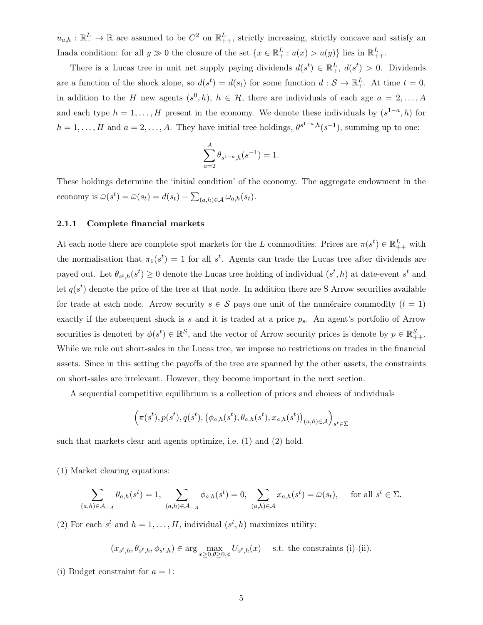$u_{a,h} : \mathbb{R}^L_+ \to \mathbb{R}$  are assumed to be  $C^2$  on  $\mathbb{R}^L_{++}$ , strictly increasing, strictly concave and satisfy an Inada condition: for all  $y \gg 0$  the closure of the set  $\{x \in \mathbb{R}^L_+ : u(x) > u(y)\}$  lies in  $\mathbb{R}^L_{++}$ .

There is a Lucas tree in unit net supply paying dividends  $d(s^t) \in \mathbb{R}^L_+$ ,  $d(s^t) > 0$ . Dividends are a function of the shock alone, so  $d(s^t) = d(s_t)$  for some function  $d: \mathcal{S} \to \mathbb{R}^L_+$ . At time  $t = 0$ , in addition to the H new agents  $(s^0, h)$ ,  $h \in \mathcal{H}$ , there are individuals of each age  $a = 2, \ldots, A$ and each type  $h = 1, \ldots, H$  present in the economy. We denote these individuals by  $(s^{1-a}, h)$  for  $h = 1, \ldots, H$  and  $a = 2, \ldots, A$ . They have initial tree holdings,  $\theta^{s^{1-a},h}(s^{-1})$ , summing up to one:

$$
\sum_{a=2}^{A} \theta_{s^{1-a},h}(s^{-1}) = 1.
$$

These holdings determine the 'initial condition' of the economy. The aggregate endowment in the economy is  $\bar{\omega}(s^t) = \bar{\omega}(s_t) = d(s_t) + \sum_{(a,h)\in\mathcal{A}} \omega_{a,h}(s_t)$ .

## 2.1.1 Complete financial markets

At each node there are complete spot markets for the L commodities. Prices are  $\pi(s^t) \in \mathbb{R}^L_{++}$  with the normalisation that  $\pi_1(s^t) = 1$  for all  $s^t$ . Agents can trade the Lucas tree after dividends are payed out. Let  $\theta_{s^t,h}(s^t) \geq 0$  denote the Lucas tree holding of individual  $(s^t,h)$  at date-event  $s^t$  and let  $q(s^t)$  denote the price of the tree at that node. In addition there are S Arrow securities available for trade at each node. Arrow security  $s \in \mathcal{S}$  pays one unit of the numéraire commodity  $(l = 1)$ exactly if the subsequent shock is s and it is traded at a price  $p_s$ . An agent's portfolio of Arrow securities is denoted by  $\phi(s^t) \in \mathbb{R}^S$ , and the vector of Arrow security prices is denote by  $p \in \mathbb{R}^S_{++}$ . While we rule out short-sales in the Lucas tree, we impose no restrictions on trades in the financial assets. Since in this setting the payoffs of the tree are spanned by the other assets, the constraints on short-sales are irrelevant. However, they become important in the next section.

A sequential competitive equilibrium is a collection of prices and choices of individuals

$$
\Big(\pi(s^t),p(s^t),q(s^t),\big(\phi_{a,h}(s^t),\theta_{a,h}(s^t),x_{a,h}(s^t)\big)_{(a,h)\in\mathcal{A}}\Big)_{s^t\in\Sigma}
$$

such that markets clear and agents optimize, i.e. (1) and (2) hold.

(1) Market clearing equations:

$$
\sum_{(a,h)\in\mathcal{A}_{-A}} \theta_{a,h}(s^t) = 1, \sum_{(a,h)\in\mathcal{A}_{-A}} \phi_{a,h}(s^t) = 0, \sum_{(a,h)\in\mathcal{A}} x_{a,h}(s^t) = \bar{\omega}(s_t), \quad \text{for all } s^t \in \Sigma.
$$

(2) For each  $s^t$  and  $h = 1, \ldots, H$ , individual  $(s^t, h)$  maximizes utility:

$$
(x_{s^t,h}, \theta_{s^t,h}, \phi_{s^t,h}) \in \arg\max_{x \ge 0, \theta \ge 0, \phi} U_{s^t,h}(x) \quad \text{ s.t. the constraints (i)-(ii).}
$$

(i) Budget constraint for  $a = 1$ :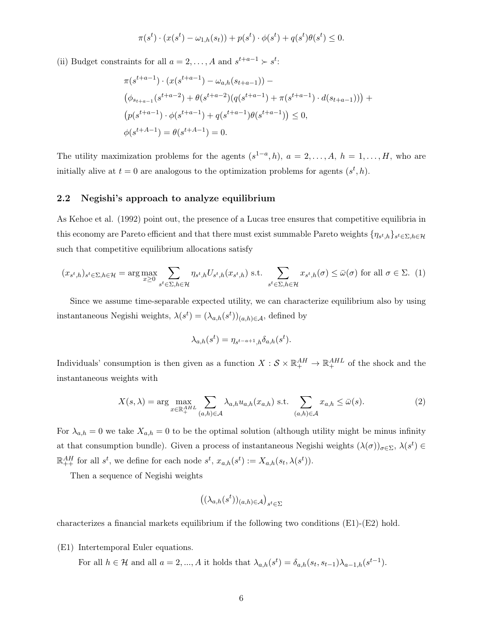$$
\pi(s^t) \cdot (x(s^t) - \omega_{1,h}(s_t)) + p(s^t) \cdot \phi(s^t) + q(s^t)\theta(s^t) \le 0.
$$

(ii) Budget constraints for all  $a = 2, ..., A$  and  $s^{t+a-1} \succ s^t$ :

$$
\pi(s^{t+a-1}) \cdot (x(s^{t+a-1}) - \omega_{a,h}(s_{t+a-1})) -
$$
  
\n
$$
(\phi_{s_{t+a-1}}(s^{t+a-2}) + \theta(s^{t+a-2})(q(s^{t+a-1}) + \pi(s^{t+a-1}) \cdot d(s_{t+a-1}))) +
$$
  
\n
$$
(p(s^{t+a-1}) \cdot \phi(s^{t+a-1}) + q(s^{t+a-1})\theta(s^{t+a-1})) \le 0,
$$
  
\n
$$
\phi(s^{t+A-1}) = \theta(s^{t+A-1}) = 0.
$$

The utility maximization problems for the agents  $(s^{1-a}, h)$ ,  $a = 2, \ldots, A$ ,  $h = 1, \ldots, H$ , who are initially alive at  $t = 0$  are analogous to the optimization problems for agents  $(s^t, h)$ .

## 2.2 Negishi's approach to analyze equilibrium

As Kehoe et al. (1992) point out, the presence of a Lucas tree ensures that competitive equilibria in this economy are Pareto efficient and that there must exist summable Pareto weights  $\{\eta_{s^t,h}\}_{s^t \in \Sigma, h \in \mathcal{H}}$ such that competitive equilibrium allocations satisfy

$$
(x_{s^t,h})_{s^t \in \Sigma, h \in \mathcal{H}} = \arg \max_{x \ge 0} \sum_{s^t \in \Sigma, h \in \mathcal{H}} \eta_{s^t,h} U_{s^t,h}(x_{s^t,h}) \text{ s.t. } \sum_{s^t \in \Sigma, h \in \mathcal{H}} x_{s^t,h}(\sigma) \le \bar{\omega}(\sigma) \text{ for all } \sigma \in \Sigma. \tag{1}
$$

Since we assume time-separable expected utility, we can characterize equilibrium also by using instantaneous Negishi weights,  $\lambda(s^t) = (\lambda_{a,h}(s^t))_{(a,h)\in\mathcal{A}}$ , defined by

$$
\lambda_{a,h}(s^t) = \eta_{s^{t-a+1},h} \delta_{a,h}(s^t).
$$

Individuals' consumption is then given as a function  $X: \mathcal{S} \times \mathbb{R}^{AH}_+ \to \mathbb{R}^{AHL}_+$  of the shock and the instantaneous weights with

$$
X(s,\lambda) = \arg\max_{x \in \mathbb{R}_+^{AHL}} \sum_{(a,h) \in \mathcal{A}} \lambda_{a,h} u_{a,h}(x_{a,h}) \text{ s.t. } \sum_{(a,h) \in \mathcal{A}} x_{a,h} \le \bar{\omega}(s).
$$
 (2)

For  $\lambda_{a,h} = 0$  we take  $X_{a,h} = 0$  to be the optimal solution (although utility might be minus infinity at that consumption bundle). Given a process of instantaneous Negishi weights  $(\lambda(\sigma))_{\sigma \in \Sigma}$ ,  $\lambda(s^t) \in$  $\mathbb{R}^{AH}_{++}$  for all  $s^t$ , we define for each node  $s^t$ ,  $x_{a,h}(s^t) := X_{a,h}(s_t, \lambda(s^t))$ .

Then a sequence of Negishi weights

$$
\big((\lambda_{a,h}(s^t))_{(a,h)\in\mathcal{A}}\big)_{s^t\in\Sigma}
$$

characterizes a financial markets equilibrium if the following two conditions (E1)-(E2) hold.

(E1) Intertemporal Euler equations.

For all  $h \in \mathcal{H}$  and all  $a = 2, ..., A$  it holds that  $\lambda_{a,h}(s^t) = \delta_{a,h}(s_t, s_{t-1})\lambda_{a-1,h}(s^{t-1}).$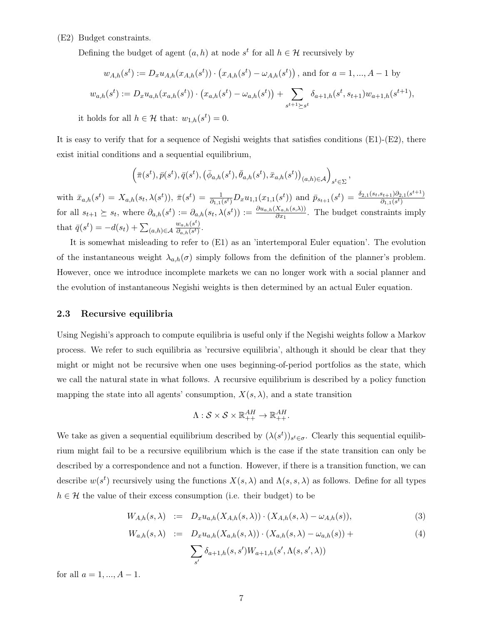# (E2) Budget constraints.

Defining the budget of agent  $(a, h)$  at node  $s<sup>t</sup>$  for all  $h \in \mathcal{H}$  recursively by

$$
w_{A,h}(s^t) := D_x u_{A,h}(x_{A,h}(s^t)) \cdot (x_{A,h}(s^t) - \omega_{A,h}(s^t)), \text{ and for } a = 1, ..., A-1 \text{ by}
$$
  

$$
w_{a,h}(s^t) := D_x u_{a,h}(x_{a,h}(s^t)) \cdot (x_{a,h}(s^t) - \omega_{a,h}(s^t)) + \sum_{s^{t+1} \succeq s^t} \delta_{a+1,h}(s^t, s_{t+1}) w_{a+1,h}(s^{t+1}),
$$

it holds for all  $h \in \mathcal{H}$  that:  $w_{1,h}(s^t) = 0$ .

It is easy to verify that for a sequence of Negishi weights that satisfies conditions  $(E1)-(E2)$ , there exist initial conditions and a sequential equilibrium,

$$
\left(\bar{\pi}(s^t),\bar{p}(s^t),\bar{q}(s^t),\left(\bar{\phi}_{a,h}(s^t),\bar{\theta}_{a,h}(s^t),\bar{x}_{a,h}(s^t)\right)_{(a,h)\in\mathcal{A}}\right)_{s^t\in\Sigma},
$$

 $\text{with } \bar{x}_{a,h}(s^t) = X_{a,h}(s_t, \lambda(s^t)), \ \bar{\pi}(s^t) = \frac{1}{\partial_{1,1}(s^t)} D_x u_{1,1}(x_{1,1}(s^t)) \text{ and } \bar{p}_{s_{t+1}}(s^t) = \frac{\delta_{2,1}(s_t, s_{t+1})\partial_{2,1}(s^{t+1})}{\partial_{1,1}(s^t)}$  $\overline{\partial_{1,1}(s^t)}$ for all  $s_{t+1} \geq s_t$ , where  $\partial_{a,h}(s^t) := \partial_{a,h}(s_t, \lambda(s^t)) := \frac{\partial u_{a,h}(X_{a,h}(s,\lambda))}{\partial x_1}$ . The budget constraints imply that  $\bar{q}(s^t) = -d(s_t) + \sum_{(a,h)\in\mathcal{A}}$  $w_{a,h}(s^t)$  $\frac{w_{a,h}(s)}{\partial_{a,h}(s^t)}$ .

It is somewhat misleading to refer to (E1) as an 'intertemporal Euler equation'. The evolution of the instantaneous weight  $\lambda_{a,h}(\sigma)$  simply follows from the definition of the planner's problem. However, once we introduce incomplete markets we can no longer work with a social planner and the evolution of instantaneous Negishi weights is then determined by an actual Euler equation.

## 2.3 Recursive equilibria

Using Negishi's approach to compute equilibria is useful only if the Negishi weights follow a Markov process. We refer to such equilibria as 'recursive equilibria', although it should be clear that they might or might not be recursive when one uses beginning-of-period portfolios as the state, which we call the natural state in what follows. A recursive equilibrium is described by a policy function mapping the state into all agents' consumption,  $X(s, \lambda)$ , and a state transition

$$
\Lambda: \mathcal{S} \times \mathcal{S} \times \mathbb{R}^{AH}_{++} \to \mathbb{R}^{AH}_{++}.
$$

We take as given a sequential equilibrium described by  $(\lambda(s^t))_{s^t \in \sigma}$ . Clearly this sequential equilibrium might fail to be a recursive equilibrium which is the case if the state transition can only be described by a correspondence and not a function. However, if there is a transition function, we can describe  $w(s^t)$  recursively using the functions  $X(s, \lambda)$  and  $\Lambda(s, s, \lambda)$  as follows. Define for all types  $h \in \mathcal{H}$  the value of their excess consumption (i.e. their budget) to be

$$
W_{A,h}(s,\lambda) := D_x u_{a,h}(X_{A,h}(s,\lambda)) \cdot (X_{A,h}(s,\lambda) - \omega_{A,h}(s)), \tag{3}
$$

$$
W_{a,h}(s,\lambda) := D_x u_{a,h}(X_{a,h}(s,\lambda)) \cdot (X_{a,h}(s,\lambda) - \omega_{a,h}(s)) + \sum_{s'} \delta_{a+1,h}(s,s') W_{a+1,h}(s',\Lambda(s,s',\lambda))
$$
\n(4)

for all  $a = 1, ..., A - 1$ .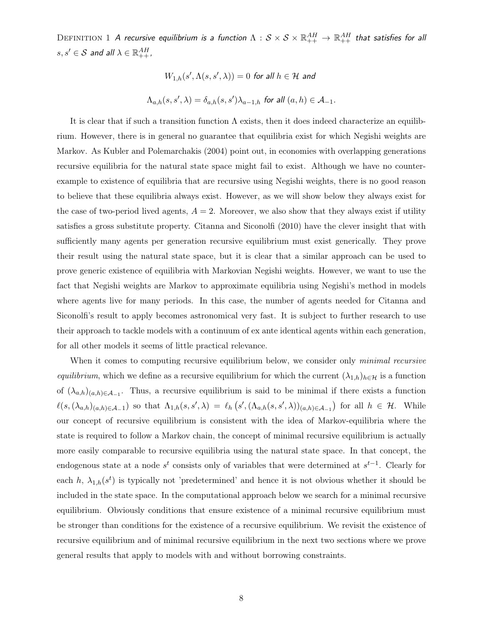DEFINITION  $1$   $A$  recursive equilibrium is a function  $\Lambda:S\times\mathcal{S}\times\mathbb{R}^{AH}_{++}\to\mathbb{R}^{AH}_{++}$  that satisfies for all  $s, s' \in \mathcal{S}$  and all  $\lambda \in \mathbb{R}^{AH}_{++}$ ,

$$
W_{1,h}(s', \Lambda(s, s', \lambda)) = 0 \text{ for all } h \in \mathcal{H} \text{ and}
$$
  

$$
\Lambda_{a,h}(s, s', \lambda) = \delta_{a,h}(s, s')\lambda_{a-1,h} \text{ for all } (a, h) \in \mathcal{A}_{-1}.
$$

It is clear that if such a transition function  $\Lambda$  exists, then it does indeed characterize an equilibrium. However, there is in general no guarantee that equilibria exist for which Negishi weights are Markov. As Kubler and Polemarchakis (2004) point out, in economies with overlapping generations recursive equilibria for the natural state space might fail to exist. Although we have no counterexample to existence of equilibria that are recursive using Negishi weights, there is no good reason to believe that these equilibria always exist. However, as we will show below they always exist for the case of two-period lived agents,  $A = 2$ . Moreover, we also show that they always exist if utility satisfies a gross substitute property. Citanna and Siconolfi (2010) have the clever insight that with sufficiently many agents per generation recursive equilibrium must exist generically. They prove their result using the natural state space, but it is clear that a similar approach can be used to prove generic existence of equilibria with Markovian Negishi weights. However, we want to use the fact that Negishi weights are Markov to approximate equilibria using Negishi's method in models where agents live for many periods. In this case, the number of agents needed for Citanna and Siconolfi's result to apply becomes astronomical very fast. It is subject to further research to use their approach to tackle models with a continuum of ex ante identical agents within each generation, for all other models it seems of little practical relevance.

When it comes to computing recursive equilibrium below, we consider only *minimal recursive* equilibrium, which we define as a recursive equilibrium for which the current  $(\lambda_{1,h})_{h\in\mathcal{H}}$  is a function of  $(\lambda_{a,h})_{(a,h)\in\mathcal{A}_{-1}}$ . Thus, a recursive equilibrium is said to be minimal if there exists a function  $\ell(s,(\lambda_{a,h})_{(a,h)\in\mathcal{A}_{-1}})$  so that  $\Lambda_{1,h}(s,s',\lambda) = \ell_h(s',(\Lambda_{a,h}(s,s',\lambda))_{(a,h)\in\mathcal{A}_{-1}})$  for all  $h \in \mathcal{H}$ . While our concept of recursive equilibrium is consistent with the idea of Markov-equilibria where the state is required to follow a Markov chain, the concept of minimal recursive equilibrium is actually more easily comparable to recursive equilibria using the natural state space. In that concept, the endogenous state at a node  $s<sup>t</sup>$  consists only of variables that were determined at  $s<sup>t-1</sup>$ . Clearly for each h,  $\lambda_{1,h}(s^t)$  is typically not 'predetermined' and hence it is not obvious whether it should be included in the state space. In the computational approach below we search for a minimal recursive equilibrium. Obviously conditions that ensure existence of a minimal recursive equilibrium must be stronger than conditions for the existence of a recursive equilibrium. We revisit the existence of recursive equilibrium and of minimal recursive equilibrium in the next two sections where we prove general results that apply to models with and without borrowing constraints.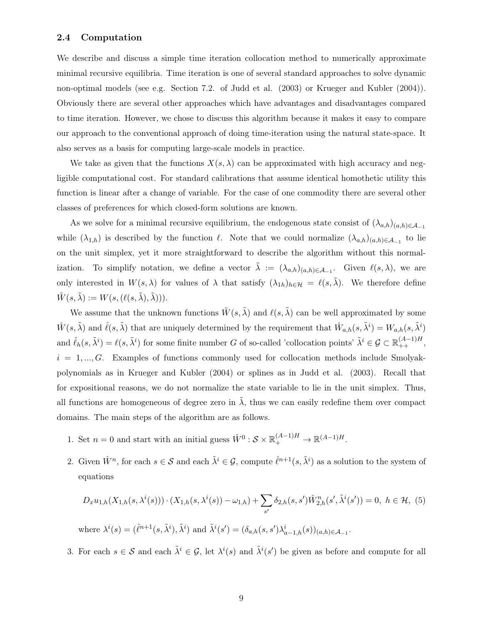## 2.4 Computation

We describe and discuss a simple time iteration collocation method to numerically approximate minimal recursive equilibria. Time iteration is one of several standard approaches to solve dynamic non-optimal models (see e.g. Section 7.2. of Judd et al. (2003) or Krueger and Kubler (2004)). Obviously there are several other approaches which have advantages and disadvantages compared to time iteration. However, we chose to discuss this algorithm because it makes it easy to compare our approach to the conventional approach of doing time-iteration using the natural state-space. It also serves as a basis for computing large-scale models in practice.

We take as given that the functions  $X(s, \lambda)$  can be approximated with high accuracy and negligible computational cost. For standard calibrations that assume identical homothetic utility this function is linear after a change of variable. For the case of one commodity there are several other classes of preferences for which closed-form solutions are known.

As we solve for a minimal recursive equilibrium, the endogenous state consist of  $(\lambda_{a,h})_{(a,h)\in\mathcal{A}_{-1}}$ while  $(\lambda_{1,h})$  is described by the function  $\ell$ . Note that we could normalize  $(\lambda_{a,h})_{(a,h)\in\mathcal{A}_{-1}}$  to lie on the unit simplex, yet it more straightforward to describe the algorithm without this normalization. To simplify notation, we define a vector  $\tilde{\lambda} := (\lambda_{a,h})_{(a,h)\in\mathcal{A}_{-1}}$ . Given  $\ell(s,\lambda)$ , we are only interested in  $W(s, \lambda)$  for values of  $\lambda$  that satisfy  $(\lambda_{1h})_{h\in\mathcal{H}} = \ell(s, \tilde{\lambda})$ . We therefore define  $\tilde{W}(s, \tilde{\lambda}) := W(s, (\ell(s, \tilde{\lambda}), \tilde{\lambda}))).$ 

We assume that the unknown functions  $\tilde{W}(s, \tilde{\lambda})$  and  $\ell(s, \tilde{\lambda})$  can be well approximated by some  $\hat{W}(s,\tilde{\lambda})$  and  $\hat{\ell}(s,\tilde{\lambda})$  that are uniquely determined by the requirement that  $\hat{W}_{a,h}(s,\tilde{\lambda}^i)=W_{a,h}(s,\tilde{\lambda}^i)$ and  $\hat{\ell}_h(s, \tilde{\lambda}^i) = \ell(s, \tilde{\lambda}^i)$  for some finite number G of so-called 'collocation points'  $\tilde{\lambda}^i \in \mathcal{G} \subset \mathbb{R}_{++}^{(A-1)H}$ ,  $i = 1, ..., G$ . Examples of functions commonly used for collocation methods include Smolyakpolynomials as in Krueger and Kubler (2004) or splines as in Judd et al. (2003). Recall that for expositional reasons, we do not normalize the state variable to lie in the unit simplex. Thus, all functions are homogeneous of degree zero in  $\lambda$ , thus we can easily redefine them over compact domains. The main steps of the algorithm are as follows.

- 1. Set  $n = 0$  and start with an initial guess  $\hat{W}^0$  :  $S \times \mathbb{R}^{(A-1)H}_{+} \to \mathbb{R}^{(A-1)H}_{+}$ .
- 2. Given  $\hat{W}^n$ , for each  $s \in \mathcal{S}$  and each  $\tilde{\lambda}^i \in \mathcal{G}$ , compute  $\hat{\ell}^{n+1}(s, \tilde{\lambda}^i)$  as a solution to the system of equations

$$
D_x u_{1,h}(X_{1,h}(s,\lambda^{i}(s))) \cdot (X_{1,h}(s,\lambda^{i}(s)) - \omega_{1,h}) + \sum_{s'} \delta_{2,h}(s,s') \hat{W}_{2,h}^{n}(s',\tilde{\lambda}^{i}(s')) = 0, \ h \in \mathcal{H}, \ (5)
$$
  
where  $\lambda^{i}(s) = (\hat{\ell}^{n+1}(s,\tilde{\lambda}^{i}),\tilde{\lambda}^{i})$  and  $\tilde{\lambda}^{i}(s') = (\delta_{a,h}(s,s')\lambda_{a-1,h}^{i}(s))_{(a,h)\in\mathcal{A}_{-1}}.$ 

3. For each  $s \in S$  and each  $\tilde{\lambda}^i \in \mathcal{G}$ , let  $\lambda^i(s)$  and  $\tilde{\lambda}^i(s')$  be given as before and compute for all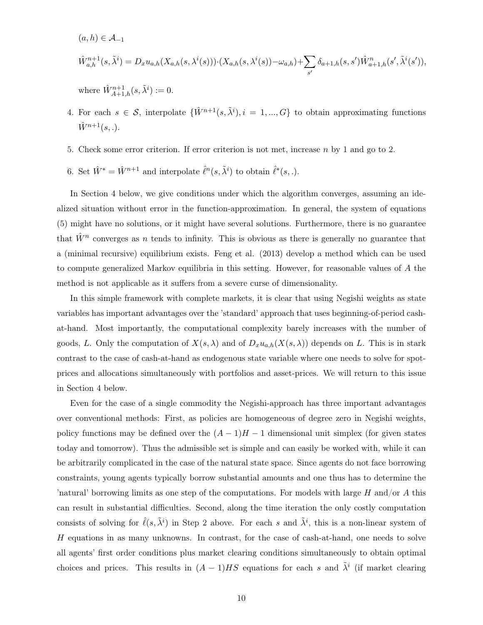$(a, h) \in \mathcal{A}_{-1}$ 

$$
\hat{W}_{a,h}^{n+1}(s,\tilde{\lambda}^i) = D_x u_{a,h}(X_{a,h}(s,\lambda^i(s))) \cdot (X_{a,h}(s,\lambda^i(s)) - \omega_{a,h}) + \sum_{s'} \delta_{a+1,h}(s,s') \hat{W}_{a+1,h}^n(s',\tilde{\lambda}^i(s')),
$$

where  $\hat{W}^{n+1}_{A+1,h}(s,\tilde{\lambda}^i) := 0.$ 

- 4. For each  $s \in \mathcal{S}$ , interpolate  $\{\hat{W}^{n+1}(s, \tilde{\lambda}^i), i = 1, ..., G\}$  to obtain approximating functions  $\hat{W}^{n+1}(s, .).$
- 5. Check some error criterion. If error criterion is not met, increase  $n$  by 1 and go to 2.
- 6. Set  $\hat{W}^* = \hat{W}^{n+1}$  and interpolate  $\hat{\ell}^n(s, \tilde{\lambda}^i)$  to obtain  $\hat{\ell}^*(s, \cdot)$ .

In Section 4 below, we give conditions under which the algorithm converges, assuming an idealized situation without error in the function-approximation. In general, the system of equations (5) might have no solutions, or it might have several solutions. Furthermore, there is no guarantee that  $\hat{W}^n$  converges as n tends to infinity. This is obvious as there is generally no guarantee that a (minimal recursive) equilibrium exists. Feng et al. (2013) develop a method which can be used to compute generalized Markov equilibria in this setting. However, for reasonable values of A the method is not applicable as it suffers from a severe curse of dimensionality.

In this simple framework with complete markets, it is clear that using Negishi weights as state variables has important advantages over the 'standard' approach that uses beginning-of-period cashat-hand. Most importantly, the computational complexity barely increases with the number of goods, L. Only the computation of  $X(s, \lambda)$  and of  $D_xu_{a,h}(X(s, \lambda))$  depends on L. This is in stark contrast to the case of cash-at-hand as endogenous state variable where one needs to solve for spotprices and allocations simultaneously with portfolios and asset-prices. We will return to this issue in Section 4 below.

Even for the case of a single commodity the Negishi-approach has three important advantages over conventional methods: First, as policies are homogeneous of degree zero in Negishi weights, policy functions may be defined over the  $(A-1)H-1$  dimensional unit simplex (for given states today and tomorrow). Thus the admissible set is simple and can easily be worked with, while it can be arbitrarily complicated in the case of the natural state space. Since agents do not face borrowing constraints, young agents typically borrow substantial amounts and one thus has to determine the 'natural' borrowing limits as one step of the computations. For models with large H and/or A this can result in substantial difficulties. Second, along the time iteration the only costly computation consists of solving for  $\hat{\ell}(s, \tilde{\lambda}^i)$  in Step 2 above. For each s and  $\tilde{\lambda}^i$ , this is a non-linear system of  $H$  equations in as many unknowns. In contrast, for the case of cash-at-hand, one needs to solve all agents' first order conditions plus market clearing conditions simultaneously to obtain optimal choices and prices. This results in  $(A-1)HS$  equations for each s and  $\tilde{\lambda}^i$  (if market clearing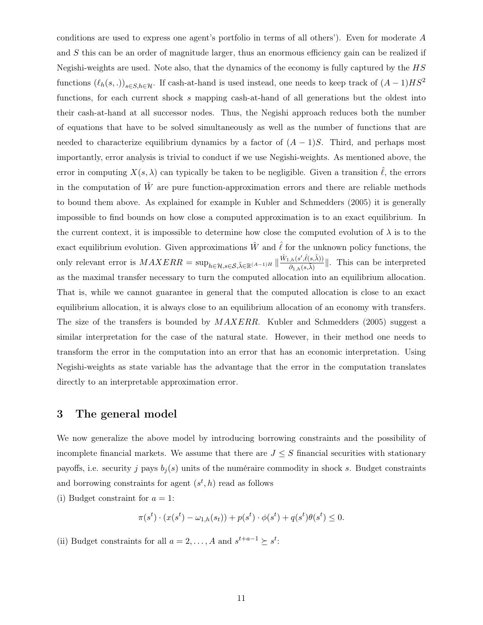conditions are used to express one agent's portfolio in terms of all others'). Even for moderate A and S this can be an order of magnitude larger, thus an enormous efficiency gain can be realized if Negishi-weights are used. Note also, that the dynamics of the economy is fully captured by the HS functions  $(\ell_h(s, .))_{s\in S, h\in\mathcal{H}}$ . If cash-at-hand is used instead, one needs to keep track of  $(A - 1)HS^2$ functions, for each current shock s mapping cash-at-hand of all generations but the oldest into their cash-at-hand at all successor nodes. Thus, the Negishi approach reduces both the number of equations that have to be solved simultaneously as well as the number of functions that are needed to characterize equilibrium dynamics by a factor of  $(A-1)S$ . Third, and perhaps most importantly, error analysis is trivial to conduct if we use Negishi-weights. As mentioned above, the error in computing  $X(s, \lambda)$  can typically be taken to be negligible. Given a transition  $\hat{\ell}$ , the errors in the computation of  $\hat{W}$  are pure function-approximation errors and there are reliable methods to bound them above. As explained for example in Kubler and Schmedders (2005) it is generally impossible to find bounds on how close a computed approximation is to an exact equilibrium. In the current context, it is impossible to determine how close the computed evolution of  $\lambda$  is to the exact equilibrium evolution. Given approximations  $\hat{W}$  and  $\hat{\ell}$  for the unknown policy functions, the only relevant error is  $MAXERR = \sup_{h \in \mathcal{H}, s \in \mathcal{S}, \tilde{\lambda} \in \mathbb{R}^{(A-1)H}} || \frac{\hat{W}_{1,h}(s', \hat{\ell}(s, \tilde{\lambda}))}{\partial_{1,h}(s, \tilde{\lambda})}$  $\frac{\partial h(s^i, t(s, \lambda))}{\partial \theta_{1,h}(s, \tilde{\lambda})}$ . This can be interpreted as the maximal transfer necessary to turn the computed allocation into an equilibrium allocation. That is, while we cannot guarantee in general that the computed allocation is close to an exact equilibrium allocation, it is always close to an equilibrium allocation of an economy with transfers. The size of the transfers is bounded by  $MAXERR$ . Kubler and Schmedders (2005) suggest a similar interpretation for the case of the natural state. However, in their method one needs to transform the error in the computation into an error that has an economic interpretation. Using Negishi-weights as state variable has the advantage that the error in the computation translates directly to an interpretable approximation error.

# 3 The general model

We now generalize the above model by introducing borrowing constraints and the possibility of incomplete financial markets. We assume that there are  $J \leq S$  financial securities with stationary payoffs, i.e. security j pays  $b_j(s)$  units of the numéraire commodity in shock s. Budget constraints and borrowing constraints for agent  $(s^t, h)$  read as follows

(i) Budget constraint for  $a = 1$ :

$$
\pi(s^t) \cdot (x(s^t) - \omega_{1,h}(s_t)) + p(s^t) \cdot \phi(s^t) + q(s^t)\theta(s^t) \leq 0.
$$

(ii) Budget constraints for all  $a = 2, \ldots, A$  and  $s^{t+a-1} \succeq s^t$ :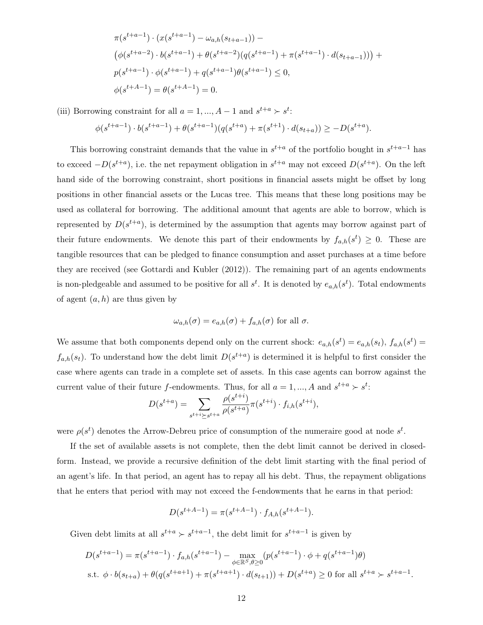$$
\pi(s^{t+a-1}) \cdot (x(s^{t+a-1}) - \omega_{a,h}(s_{t+a-1})) -
$$
  
\n
$$
(\phi(s^{t+a-2}) \cdot b(s^{t+a-1}) + \theta(s^{t+a-2})(q(s^{t+a-1}) + \pi(s^{t+a-1}) \cdot d(s_{t+a-1}))) +
$$
  
\n
$$
p(s^{t+a-1}) \cdot \phi(s^{t+a-1}) + q(s^{t+a-1})\theta(s^{t+a-1}) \le 0,
$$
  
\n
$$
\phi(s^{t+A-1}) = \theta(s^{t+A-1}) = 0.
$$

(iii) Borrowing constraint for all  $a = 1, ..., A - 1$  and  $s^{t+a} > s^t$ :

$$
\phi(s^{t+a-1})\cdot b(s^{t+a-1})+\theta(s^{t+a-1})(q(s^{t+a})+\pi(s^{t+1})\cdot d(s_{t+a}))\ge -D(s^{t+a}).
$$

This borrowing constraint demands that the value in  $s^{t+a}$  of the portfolio bought in  $s^{t+a-1}$  has to exceed  $-D(s^{t+a})$ , i.e. the net repayment obligation in  $s^{t+a}$  may not exceed  $D(s^{t+a})$ . On the left hand side of the borrowing constraint, short positions in financial assets might be offset by long positions in other financial assets or the Lucas tree. This means that these long positions may be used as collateral for borrowing. The additional amount that agents are able to borrow, which is represented by  $D(s^{t+a})$ , is determined by the assumption that agents may borrow against part of their future endowments. We denote this part of their endowments by  $f_{a,h}(s^t) \geq 0$ . These are tangible resources that can be pledged to finance consumption and asset purchases at a time before they are received (see Gottardi and Kubler (2012)). The remaining part of an agents endowments is non-pledgeable and assumed to be positive for all  $s^t$ . It is denoted by  $e_{a,h}(s^t)$ . Total endowments of agent  $(a, h)$  are thus given by

$$
\omega_{a,h}(\sigma) = e_{a,h}(\sigma) + f_{a,h}(\sigma)
$$
 for all  $\sigma$ .

We assume that both components depend only on the current shock:  $e_{a,h}(s^t) = e_{a,h}(s_t)$ ,  $f_{a,h}(s^t) =$  $f_{a,h}(s_t)$ . To understand how the debt limit  $D(s^{t+a})$  is determined it is helpful to first consider the case where agents can trade in a complete set of assets. In this case agents can borrow against the current value of their future f-endowments. Thus, for all  $a = 1, ..., A$  and  $s^{t+a} \succ s^t$ :

$$
D(s^{t+a}) = \sum_{s^{t+i} \ge s^{t+a}} \frac{\rho(s^{t+i})}{\rho(s^{t+a})} \pi(s^{t+i}) \cdot f_{i,h}(s^{t+i}),
$$

were  $\rho(s^t)$  denotes the Arrow-Debreu price of consumption of the numeraire good at node  $s^t$ .

If the set of available assets is not complete, then the debt limit cannot be derived in closedform. Instead, we provide a recursive definition of the debt limit starting with the final period of an agent's life. In that period, an agent has to repay all his debt. Thus, the repayment obligations that he enters that period with may not exceed the f-endowments that he earns in that period:

$$
D(s^{t+A-1}) = \pi(s^{t+A-1}) \cdot f_{A,h}(s^{t+A-1}).
$$

Given debt limits at all  $s^{t+a} > s^{t+a-1}$ , the debt limit for  $s^{t+a-1}$  is given by

$$
D(s^{t+a-1}) = \pi(s^{t+a-1}) \cdot f_{a,h}(s^{t+a-1}) - \max_{\phi \in \mathbb{R}^S, \theta \ge 0} (p(s^{t+a-1}) \cdot \phi + q(s^{t+a-1})\theta)
$$
  
s.t.  $\phi \cdot b(s_{t+a}) + \theta(q(s^{t+a+1}) + \pi(s^{t+a+1}) \cdot d(s_{t+1})) + D(s^{t+a}) \ge 0$  for all  $s^{t+a} > s^{t+a-1}$ .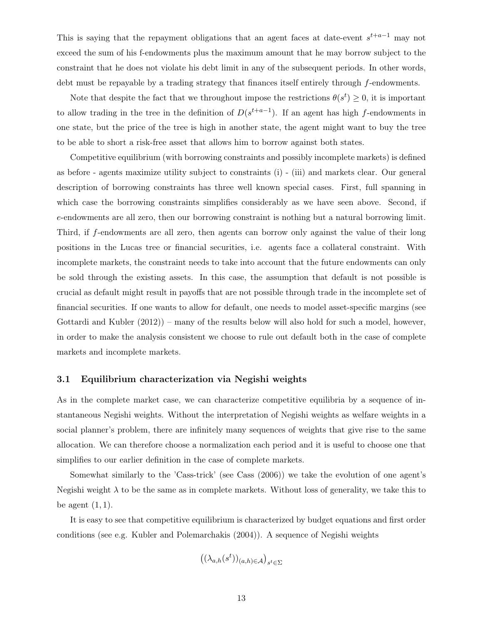This is saying that the repayment obligations that an agent faces at date-event  $s^{t+a-1}$  may not exceed the sum of his f-endowments plus the maximum amount that he may borrow subject to the constraint that he does not violate his debt limit in any of the subsequent periods. In other words, debt must be repayable by a trading strategy that finances itself entirely through f-endowments.

Note that despite the fact that we throughout impose the restrictions  $\theta(s^t) \geq 0$ , it is important to allow trading in the tree in the definition of  $D(s^{t+a-1})$ . If an agent has high f-endowments in one state, but the price of the tree is high in another state, the agent might want to buy the tree to be able to short a risk-free asset that allows him to borrow against both states.

Competitive equilibrium (with borrowing constraints and possibly incomplete markets) is defined as before - agents maximize utility subject to constraints (i) - (iii) and markets clear. Our general description of borrowing constraints has three well known special cases. First, full spanning in which case the borrowing constraints simplifies considerably as we have seen above. Second, if e-endowments are all zero, then our borrowing constraint is nothing but a natural borrowing limit. Third, if f-endowments are all zero, then agents can borrow only against the value of their long positions in the Lucas tree or financial securities, i.e. agents face a collateral constraint. With incomplete markets, the constraint needs to take into account that the future endowments can only be sold through the existing assets. In this case, the assumption that default is not possible is crucial as default might result in payoffs that are not possible through trade in the incomplete set of financial securities. If one wants to allow for default, one needs to model asset-specific margins (see Gottardi and Kubler (2012)) – many of the results below will also hold for such a model, however, in order to make the analysis consistent we choose to rule out default both in the case of complete markets and incomplete markets.

# 3.1 Equilibrium characterization via Negishi weights

As in the complete market case, we can characterize competitive equilibria by a sequence of instantaneous Negishi weights. Without the interpretation of Negishi weights as welfare weights in a social planner's problem, there are infinitely many sequences of weights that give rise to the same allocation. We can therefore choose a normalization each period and it is useful to choose one that simplifies to our earlier definition in the case of complete markets.

Somewhat similarly to the 'Cass-trick' (see Cass (2006)) we take the evolution of one agent's Negishi weight  $\lambda$  to be the same as in complete markets. Without loss of generality, we take this to be agent  $(1, 1)$ .

It is easy to see that competitive equilibrium is characterized by budget equations and first order conditions (see e.g. Kubler and Polemarchakis (2004)). A sequence of Negishi weights

$$
\left((\lambda_{a,h}(s^t))_{(a,h)\in\mathcal{A}}\right)_{s^t\in\Sigma}
$$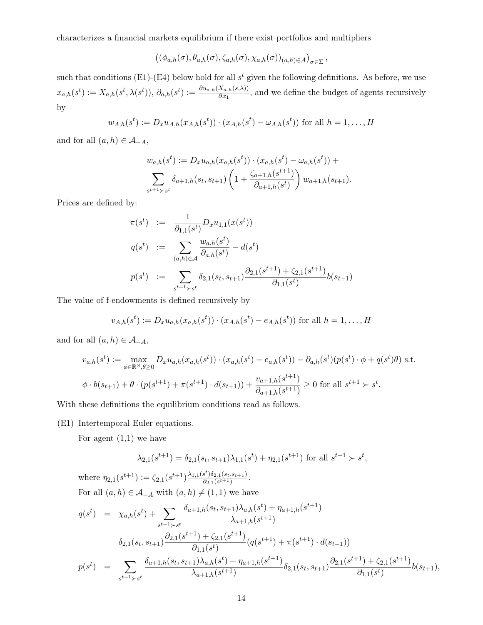characterizes a financial markets equilibrium if there exist portfolios and multipliers

 $((\phi_{a,h}(\sigma), \theta_{a,h}(\sigma), \zeta_{a,h}(\sigma), \chi_{a,h}(\sigma))_{(a,h)\in \mathcal{A}})_{\sigma \in \Sigma},$ 

such that conditions (E1)-(E4) below hold for all  $s<sup>t</sup>$  given the following definitions. As before, we use  $x_{a,h}(s^t) := X_{a,h}(s^t, \lambda(s^t)), \ \partial_{a,h}(s^t) := \frac{\partial u_{a,h}(X_{a,h}(s,\lambda))}{\partial x_1},$  and we define the budget of agents recursively by

$$
w_{A,h}(s^t) := D_x u_{A,h}(x_{A,h}(s^t)) \cdot (x_{A,h}(s^t) - \omega_{A,h}(s^t))
$$
 for all  $h = 1, ..., H$ 

and for all  $(a, h) \in \mathcal{A}_{-A}$ ,

$$
w_{a,h}(s^t) := D_x u_{a,h}(x_{a,h}(s^t)) \cdot (x_{a,h}(s^t) - \omega_{a,h}(s^t)) +
$$
  

$$
\sum_{s^{t+1} \succ s^t} \delta_{a+1,h}(s_t, s_{t+1}) \left(1 + \frac{\zeta_{a+1,h}(s^{t+1})}{\partial_{a+1,h}(s^t)}\right) w_{a+1,h}(s_{t+1}).
$$

Prices are defined by:

$$
\pi(s^t) := \frac{1}{\partial_{1,1}(s^t)} D_x u_{1,1}(x(s^t))
$$
  
\n
$$
q(s^t) := \sum_{(a,h)\in\mathcal{A}} \frac{w_{a,h}(s^t)}{\partial_{a,h}(s^t)} - d(s^t)
$$
  
\n
$$
p(s^t) := \sum_{s^{t+1}\succ s^t} \delta_{2,1}(s_t, s_{t+1}) \frac{\partial_{2,1}(s^{t+1}) + \zeta_{2,1}(s^{t+1})}{\partial_{1,1}(s^t)} b(s_{t+1})
$$

The value of f-endowments is defined recursively by

$$
v_{A,h}(s^t) := D_x u_{a,h}(x_{a,h}(s^t)) \cdot (x_{A,h}(s^t) - e_{A,h}(s^t))
$$
 for all  $h = 1, ..., H$ 

and for all  $(a, h) \in \mathcal{A}_{-A}$ ,

$$
v_{a,h}(s^t) := \max_{\phi \in \mathbb{R}^S, \theta \ge 0} D_x u_{a,h}(x_{a,h}(s^t)) \cdot (x_{a,h}(s^t) - e_{a,h}(s^t)) - \partial_{a,h}(s^t)(p(s^t) \cdot \phi + q(s^t)\theta) \text{ s.t.}
$$
  

$$
\phi \cdot b(s_{t+1}) + \theta \cdot (p(s^{t+1}) + \pi(s^{t+1}) \cdot d(s_{t+1})) + \frac{v_{a+1,h}(s^{t+1})}{\partial_{a+1,h}(s^{t+1})} \ge 0 \text{ for all } s^{t+1} > s^t.
$$

With these definitions the equilibrium conditions read as follows.

(E1) Intertemporal Euler equations.

For agent  $(1,1)$  we have

$$
\lambda_{2,1}(s^{t+1}) = \delta_{2,1}(s_t, s_{t+1})\lambda_{1,1}(s^t) + \eta_{2,1}(s^{t+1})
$$
 for all  $s^{t+1} > s^t$ ,

where 
$$
\eta_{2,1}(s^{t+1}) := \zeta_{2,1}(s^{t+1}) \frac{\lambda_{1,1}(s^{t}) \delta_{2,1}(s_{t}, s_{t+1})}{\delta_{2,1}(s^{t+1})}
$$
.  
\nFor all  $(a, h) \in \mathcal{A}_{-A}$  with  $(a, h) \neq (1, 1)$  we have  
\n
$$
q(s^{t}) = \chi_{a,h}(s^{t}) + \sum_{s^{t+1} > s^{t}} \frac{\delta_{a+1,h}(s_{t}, s_{t+1}) \lambda_{a,h}(s^{t}) + \eta_{a+1,h}(s^{t+1})}{\lambda_{a+1,h}(s^{t+1})}
$$
\n
$$
\delta_{2,1}(s_{t}, s_{t+1}) \frac{\partial_{2,1}(s^{t+1}) + \zeta_{2,1}(s^{t+1})}{\partial_{1,1}(s^{t})} (q(s^{t+1}) + \pi(s^{t+1}) \cdot d(s_{t+1}))
$$
\n
$$
p(s^{t}) = \sum_{s^{t+1} > s^{t}} \frac{\delta_{a+1,h}(s_{t}, s_{t+1}) \lambda_{a,h}(s^{t}) + \eta_{a+1,h}(s^{t+1})}{\lambda_{a+1,h}(s^{t+1})} \delta_{2,1}(s_{t}, s_{t+1}) \frac{\partial_{2,1}(s^{t+1}) + \zeta_{2,1}(s^{t+1})}{\partial_{1,1}(s^{t})} b(s_{t+1}),
$$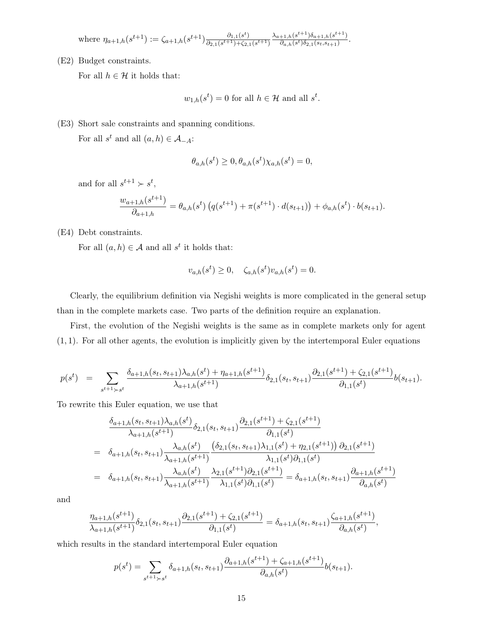where 
$$
\eta_{a+1,h}(s^{t+1}) := \zeta_{a+1,h}(s^{t+1}) \frac{\partial_{1,1}(s^t)}{\partial_{2,1}(s^{t+1}) + \zeta_{2,1}(s^{t+1})} \frac{\lambda_{a+1,h}(s^{t+1})\delta_{a+1,h}(s^{t+1})}{\partial_{a,h}(s^t)\delta_{2,1}(s_t,s_{t+1})}.
$$

(E2) Budget constraints.

For all  $h \in \mathcal{H}$  it holds that:

$$
w_{1,h}(s^t) = 0
$$
 for all  $h \in \mathcal{H}$  and all  $s^t$ .

(E3) Short sale constraints and spanning conditions.

For all  $s^t$  and all  $(a, h) \in \mathcal{A}_{-A}$ :

$$
\theta_{a,h}(s^t) \ge 0, \theta_{a,h}(s^t) \chi_{a,h}(s^t) = 0,
$$

and for all  $s^{t+1} \succ s^t$ ,

$$
\frac{w_{a+1,h}(s^{t+1})}{\partial_{a+1,h}} = \theta_{a,h}(s^t) \left( q(s^{t+1}) + \pi(s^{t+1}) \cdot d(s_{t+1}) \right) + \phi_{a,h}(s^t) \cdot b(s_{t+1}).
$$

(E4) Debt constraints.

For all  $(a, h) \in \mathcal{A}$  and all  $s^t$  it holds that:

$$
v_{a,h}(s^t) \ge 0, \quad \zeta_{a,h}(s^t) v_{a,h}(s^t) = 0.
$$

Clearly, the equilibrium definition via Negishi weights is more complicated in the general setup than in the complete markets case. Two parts of the definition require an explanation.

First, the evolution of the Negishi weights is the same as in complete markets only for agent  $(1, 1)$ . For all other agents, the evolution is implicitly given by the intertemporal Euler equations

$$
p(s^t) = \sum_{s^{t+1} \succ s^t} \frac{\delta_{a+1,h}(s_t, s_{t+1}) \lambda_{a,h}(s^t) + \eta_{a+1,h}(s^{t+1})}{\lambda_{a+1,h}(s^{t+1})} \delta_{2,1}(s_t, s_{t+1}) \frac{\partial_{2,1}(s^{t+1}) + \zeta_{2,1}(s^{t+1})}{\partial_{1,1}(s^t)} b(s_{t+1}).
$$

To rewrite this Euler equation, we use that

$$
\frac{\delta_{a+1,h}(s_t, s_{t+1})\lambda_{a,h}(s^t)}{\lambda_{a+1,h}(s^{t+1})} \delta_{2,1}(s_t, s_{t+1}) \frac{\partial_{2,1}(s^{t+1}) + \zeta_{2,1}(s^{t+1})}{\partial_{1,1}(s^t)} \n= \delta_{a+1,h}(s_t, s_{t+1}) \frac{\lambda_{a,h}(s^t)}{\lambda_{a+1,h}(s^{t+1})} \frac{\left(\delta_{2,1}(s_t, s_{t+1})\lambda_{1,1}(s^t) + \eta_{2,1}(s^{t+1})\right) \partial_{2,1}(s^{t+1})}{\lambda_{1,1}(s^t) \partial_{1,1}(s^t)} \n= \delta_{a+1,h}(s_t, s_{t+1}) \frac{\lambda_{a,h}(s^t)}{\lambda_{a+1,h}(s^{t+1})} \frac{\lambda_{2,1}(s^{t+1}) \partial_{2,1}(s^{t+1})}{\lambda_{1,1}(s^t) \partial_{1,1}(s^t)} = \delta_{a+1,h}(s_t, s_{t+1}) \frac{\partial_{a+1,h}(s^{t+1})}{\partial_{a,h}(s^t)}
$$

and

$$
\frac{\eta_{a+1,h}(s^{t+1})}{\lambda_{a+1,h}(s^{t+1})}\delta_{2,1}(s_t,s_{t+1})\frac{\partial_{2,1}(s^{t+1})+\zeta_{2,1}(s^{t+1})}{\partial_{1,1}(s^t)}=\delta_{a+1,h}(s_t,s_{t+1})\frac{\zeta_{a+1,h}(s^{t+1})}{\partial_{a,h}(s^t)},
$$

which results in the standard intertemporal Euler equation

$$
p(s^{t}) = \sum_{s^{t+1} \succ s^{t}} \delta_{a+1,h}(s_{t}, s_{t+1}) \frac{\partial_{a+1,h}(s^{t+1}) + \zeta_{a+1,h}(s^{t+1})}{\partial_{a,h}(s^{t})} b(s_{t+1}).
$$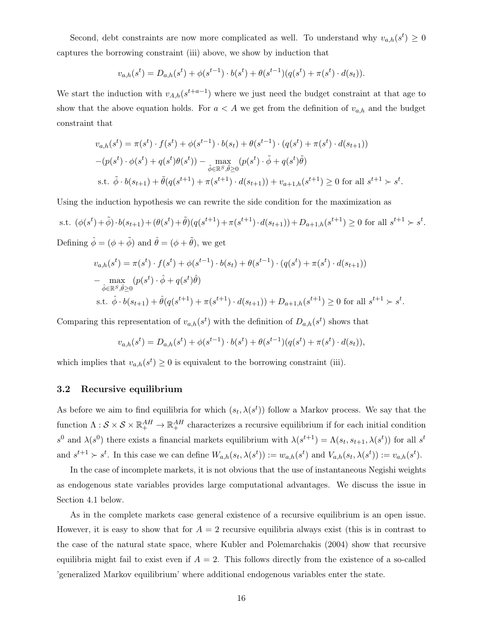Second, debt constraints are now more complicated as well. To understand why  $v_{a,h}(s^t) \geq 0$ captures the borrowing constraint (iii) above, we show by induction that

$$
v_{a,h}(s^t) = D_{a,h}(s^t) + \phi(s^{t-1}) \cdot b(s^t) + \theta(s^{t-1})(q(s^t) + \pi(s^t) \cdot d(s_t)).
$$

We start the induction with  $v_{A,h}(s^{t+a-1})$  where we just need the budget constraint at that age to show that the above equation holds. For  $a < A$  we get from the definition of  $v_{a,h}$  and the budget constraint that

$$
v_{a,h}(s^t) = \pi(s^t) \cdot f(s^t) + \phi(s^{t-1}) \cdot b(s_t) + \theta(s^{t-1}) \cdot (q(s^t) + \pi(s^t) \cdot d(s_{t+1}))
$$
  
-(p(s^t) \cdot \phi(s^t) + q(s^t)\theta(s^t)) - \max\_{\tilde{\phi} \in \mathbb{R}^S, \tilde{\theta} \ge 0} (p(s^t) \cdot \tilde{\phi} + q(s^t)\tilde{\theta})  
s.t.  $\tilde{\phi} \cdot b(s_{t+1}) + \tilde{\theta}(q(s^{t+1}) + \pi(s^{t+1}) \cdot d(s_{t+1})) + v_{a+1,h}(s^{t+1}) \ge 0$  for all  $s^{t+1} > s^t$ .

Using the induction hypothesis we can rewrite the side condition for the maximization as

s.t. 
$$
(\phi(s^t) + \tilde{\phi}) \cdot b(s_{t+1}) + (\theta(s^t) + \tilde{\theta})(q(s^{t+1}) + \pi(s^{t+1}) \cdot d(s_{t+1})) + D_{a+1,h}(s^{t+1}) \ge 0
$$
 for all  $s^{t+1} > s^t$ .

Defining  $\hat{\phi} = (\phi + \tilde{\phi})$  and  $\hat{\theta} = (\phi + \tilde{\theta})$ , we get

$$
v_{a,h}(s^t) = \pi(s^t) \cdot f(s^t) + \phi(s^{t-1}) \cdot b(s_t) + \theta(s^{t-1}) \cdot (q(s^t) + \pi(s^t) \cdot d(s_{t+1}))
$$
  
\n
$$
- \max_{\hat{\phi} \in \mathbb{R}^S, \hat{\theta} \ge 0} (p(s^t) \cdot \hat{\phi} + q(s^t)\hat{\theta})
$$
  
\ns.t.  $\hat{\phi} \cdot b(s_{t+1}) + \hat{\theta}(q(s^{t+1}) + \pi(s^{t+1}) \cdot d(s_{t+1})) + D_{a+1,h}(s^{t+1}) \ge 0$  for all  $s^{t+1} > s^t$ .

Comparing this representation of  $v_{a,h}(s^t)$  with the definition of  $D_{a,h}(s^t)$  shows that

$$
v_{a,h}(s^t) = D_{a,h}(s^t) + \phi(s^{t-1}) \cdot b(s^t) + \theta(s^{t-1})(q(s^t) + \pi(s^t) \cdot d(s_t)),
$$

which implies that  $v_{a,h}(s^t) \geq 0$  is equivalent to the borrowing constraint (iii).

#### 3.2 Recursive equilibrium

As before we aim to find equilibria for which  $(s_t, \lambda(s^t))$  follow a Markov process. We say that the function  $\Lambda: \mathcal{S} \times \mathcal{S} \times \mathbb{R}^{AH}_+ \to \mathbb{R}^{AH}_+$  characterizes a recursive equilibrium if for each initial condition s<sup>0</sup> and  $\lambda(s^0)$  there exists a financial markets equilibrium with  $\lambda(s^{t+1}) = \Lambda(s_t, s_{t+1}, \lambda(s^t))$  for all  $s^t$ and  $s^{t+1} \succ s^t$ . In this case we can define  $W_{a,h}(s_t, \lambda(s^t)) := w_{a,h}(s^t)$  and  $V_{a,h}(s_t, \lambda(s^t)) := v_{a,h}(s^t)$ .

In the case of incomplete markets, it is not obvious that the use of instantaneous Negishi weights as endogenous state variables provides large computational advantages. We discuss the issue in Section 4.1 below.

As in the complete markets case general existence of a recursive equilibrium is an open issue. However, it is easy to show that for  $A = 2$  recursive equilibria always exist (this is in contrast to the case of the natural state space, where Kubler and Polemarchakis (2004) show that recursive equilibria might fail to exist even if  $A = 2$ . This follows directly from the existence of a so-called 'generalized Markov equilibrium' where additional endogenous variables enter the state.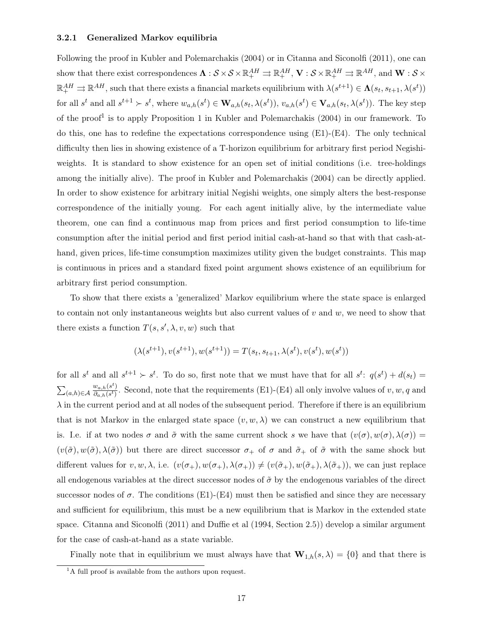#### 3.2.1 Generalized Markov equilibria

Following the proof in Kubler and Polemarchakis (2004) or in Citanna and Siconolfi (2011), one can show that there exist correspondences  $\mathbf{\Lambda}: \mathcal{S} \times \mathcal{S} \times \mathbb{R}^{AH}_+ \rightrightarrows \mathbb{R}^{AH}_+, \mathbf{V}: \mathcal{S} \times \mathbb{R}^{AH}_+ \rightrightarrows \mathbb{R}^{AH},$  and  $\mathbf{W}: \mathcal{S} \times$  $\mathbb{R}^{AH}_+ \rightrightarrows \mathbb{R}^{AH}$ , such that there exists a financial markets equilibrium with  $\lambda(s^{t+1}) \in \Lambda(s_t, s_{t+1}, \lambda(s^t))$ for all  $s^t$  and all  $s^{t+1} \succ s^t$ , where  $w_{a,h}(s^t) \in \mathbf{W}_{a,h}(s_t, \lambda(s^t)), v_{a,h}(s^t) \in \mathbf{V}_{a,h}(s_t, \lambda(s^t)).$  The key step of the proof<sup>1</sup> is to apply Proposition 1 in Kubler and Polemarchakis (2004) in our framework. To do this, one has to redefine the expectations correspondence using (E1)-(E4). The only technical difficulty then lies in showing existence of a T-horizon equilibrium for arbitrary first period Negishiweights. It is standard to show existence for an open set of initial conditions (i.e. tree-holdings among the initially alive). The proof in Kubler and Polemarchakis (2004) can be directly applied. In order to show existence for arbitrary initial Negishi weights, one simply alters the best-response correspondence of the initially young. For each agent initially alive, by the intermediate value theorem, one can find a continuous map from prices and first period consumption to life-time consumption after the initial period and first period initial cash-at-hand so that with that cash-athand, given prices, life-time consumption maximizes utility given the budget constraints. This map is continuous in prices and a standard fixed point argument shows existence of an equilibrium for arbitrary first period consumption.

To show that there exists a 'generalized' Markov equilibrium where the state space is enlarged to contain not only instantaneous weights but also current values of  $v$  and  $w$ , we need to show that there exists a function  $T(s, s', \lambda, v, w)$  such that

$$
(\lambda(s^{t+1}), v(s^{t+1}), w(s^{t+1})) = T(s_t, s_{t+1}, \lambda(s^t), v(s^t), w(s^t))
$$

for all  $s^t$  and all  $s^{t+1} \succ s^t$ . To do so, first note that we must have that for all  $s^t$ :  $q(s^t) + d(s_t) =$  $\sum_{(a,h)\in\mathcal{A}}$  $w_{a,h}(s^t)$  $\frac{d(a,h(s))}{d_{a,h}(s)}$ . Second, note that the requirements (E1)-(E4) all only involve values of  $v, w, q$  and  $\lambda$  in the current period and at all nodes of the subsequent period. Therefore if there is an equilibrium that is not Markov in the enlarged state space  $(v, w, \lambda)$  we can construct a new equilibrium that is. I.e. if at two nodes  $\sigma$  and  $\tilde{\sigma}$  with the same current shock s we have that  $(v(\sigma), w(\sigma), \lambda(\sigma)) =$  $(v(\tilde{\sigma}), w(\tilde{\sigma}), \lambda(\tilde{\sigma}))$  but there are direct successor  $\sigma_+$  of  $\sigma$  and  $\tilde{\sigma}_+$  of  $\tilde{\sigma}$  with the same shock but different values for  $v, w, \lambda$ , i.e.  $(v(\sigma_+), w(\sigma_+), \lambda(\sigma_+)) \neq (v(\tilde{\sigma}_+), w(\tilde{\sigma}_+), \lambda(\tilde{\sigma}_+))$ , we can just replace all endogenous variables at the direct successor nodes of  $\tilde{\sigma}$  by the endogenous variables of the direct successor nodes of  $\sigma$ . The conditions (E1)-(E4) must then be satisfied and since they are necessary and sufficient for equilibrium, this must be a new equilibrium that is Markov in the extended state space. Citanna and Siconolfi (2011) and Duffie et al (1994, Section 2.5)) develop a similar argument for the case of cash-at-hand as a state variable.

Finally note that in equilibrium we must always have that  $\mathbf{W}_{1,h}(s,\lambda) = \{0\}$  and that there is

 ${}^{1}$ A full proof is available from the authors upon request.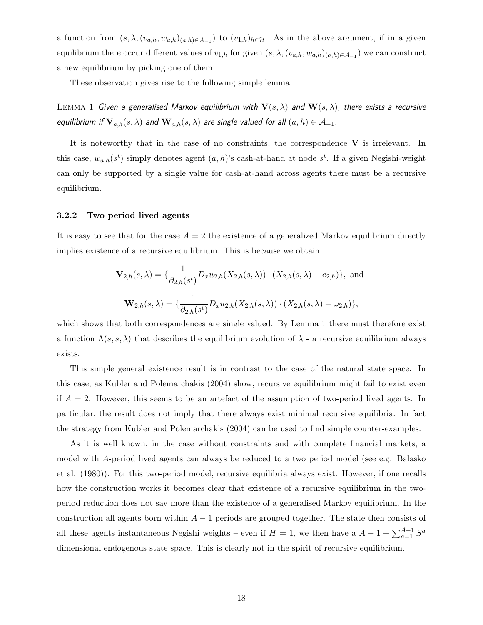a function from  $(s, \lambda, (v_{a,h}, w_{a,h})_{(a,h)\in\mathcal{A}_{-1}})$  to  $(v_{1,h})_{h\in\mathcal{H}}$ . As in the above argument, if in a given equilibrium there occur different values of  $v_{1,h}$  for given  $(s, \lambda, (v_{a,h}, w_{a,h})_{(a,h)\in\mathcal{A}_{-1}})$  we can construct a new equilibrium by picking one of them.

These observation gives rise to the following simple lemma.

LEMMA 1 Given a generalised Markov equilibrium with  $\mathbf{V}(s,\lambda)$  and  $\mathbf{W}(s,\lambda)$ , there exists a recursive equilibrium if  $\mathbf{V}_{a,h}(s,\lambda)$  and  $\mathbf{W}_{a,h}(s,\lambda)$  are single valued for all  $(a,h) \in \mathcal{A}_{-1}$ .

It is noteworthy that in the case of no constraints, the correspondence  $V$  is irrelevant. In this case,  $w_{a,h}(s^t)$  simply denotes agent  $(a, h)$ 's cash-at-hand at node  $s^t$ . If a given Negishi-weight can only be supported by a single value for cash-at-hand across agents there must be a recursive equilibrium.

#### 3.2.2 Two period lived agents

It is easy to see that for the case  $A = 2$  the existence of a generalized Markov equilibrium directly implies existence of a recursive equilibrium. This is because we obtain

$$
\mathbf{V}_{2,h}(s,\lambda) = \{ \frac{1}{\partial_{2,h}(s^t)} D_x u_{2,h}(X_{2,h}(s,\lambda)) \cdot (X_{2,h}(s,\lambda) - e_{2,h}) \}, \text{ and}
$$

$$
\mathbf{W}_{2,h}(s,\lambda) = \{ \frac{1}{\partial_{2,h}(s^t)} D_x u_{2,h}(X_{2,h}(s,\lambda)) \cdot (X_{2,h}(s,\lambda) - \omega_{2,h}) \},
$$

which shows that both correspondences are single valued. By Lemma 1 there must therefore exist a function  $\Lambda(s, s, \lambda)$  that describes the equilibrium evolution of  $\lambda$  - a recursive equilibrium always exists.

This simple general existence result is in contrast to the case of the natural state space. In this case, as Kubler and Polemarchakis (2004) show, recursive equilibrium might fail to exist even if  $A = 2$ . However, this seems to be an artefact of the assumption of two-period lived agents. In particular, the result does not imply that there always exist minimal recursive equilibria. In fact the strategy from Kubler and Polemarchakis (2004) can be used to find simple counter-examples.

As it is well known, in the case without constraints and with complete financial markets, a model with A-period lived agents can always be reduced to a two period model (see e.g. Balasko et al. (1980)). For this two-period model, recursive equilibria always exist. However, if one recalls how the construction works it becomes clear that existence of a recursive equilibrium in the twoperiod reduction does not say more than the existence of a generalised Markov equilibrium. In the construction all agents born within  $A - 1$  periods are grouped together. The state then consists of all these agents instantaneous Negishi weights – even if  $H = 1$ , we then have a  $A - 1 + \sum_{a=1}^{A-1} S^a$ dimensional endogenous state space. This is clearly not in the spirit of recursive equilibrium.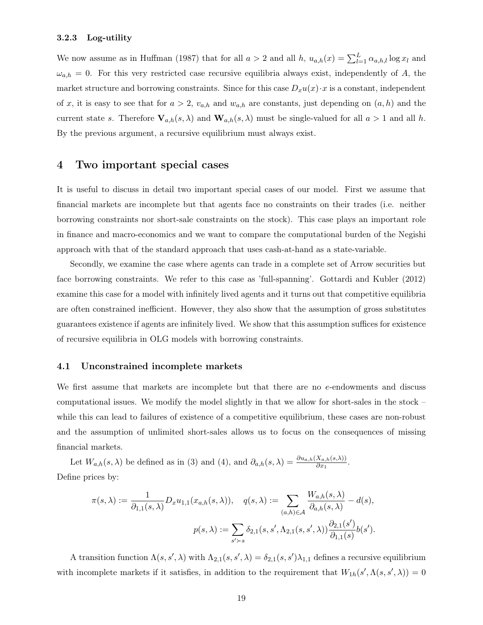# 3.2.3 Log-utility

We now assume as in Huffman (1987) that for all  $a > 2$  and all  $h$ ,  $u_{a,h}(x) = \sum_{l=1}^{L} \alpha_{a,h,l} \log x_l$  and  $\omega_{a,h} = 0$ . For this very restricted case recursive equilibria always exist, independently of A, the market structure and borrowing constraints. Since for this case  $D_xu(x) \cdot x$  is a constant, independent of x, it is easy to see that for  $a > 2$ ,  $v_{a,h}$  and  $w_{a,h}$  are constants, just depending on  $(a, h)$  and the current state s. Therefore  $V_{a,h}(s,\lambda)$  and  $W_{a,h}(s,\lambda)$  must be single-valued for all  $a > 1$  and all h. By the previous argument, a recursive equilibrium must always exist.

# 4 Two important special cases

It is useful to discuss in detail two important special cases of our model. First we assume that financial markets are incomplete but that agents face no constraints on their trades (i.e. neither borrowing constraints nor short-sale constraints on the stock). This case plays an important role in finance and macro-economics and we want to compare the computational burden of the Negishi approach with that of the standard approach that uses cash-at-hand as a state-variable.

Secondly, we examine the case where agents can trade in a complete set of Arrow securities but face borrowing constraints. We refer to this case as 'full-spanning'. Gottardi and Kubler (2012) examine this case for a model with infinitely lived agents and it turns out that competitive equilibria are often constrained inefficient. However, they also show that the assumption of gross substitutes guarantees existence if agents are infinitely lived. We show that this assumption suffices for existence of recursive equilibria in OLG models with borrowing constraints.

#### 4.1 Unconstrained incomplete markets

We first assume that markets are incomplete but that there are no e-endowments and discuss computational issues. We modify the model slightly in that we allow for short-sales in the stock – while this can lead to failures of existence of a competitive equilibrium, these cases are non-robust and the assumption of unlimited short-sales allows us to focus on the consequences of missing financial markets.

Let  $W_{a,h}(s,\lambda)$  be defined as in (3) and (4), and  $\partial_{a,h}(s,\lambda) = \frac{\partial u_{a,h}(X_{a,h}(s,\lambda))}{\partial x_1}$ . Define prices by:

$$
\pi(s,\lambda) := \frac{1}{\partial_{1,1}(s,\lambda)} D_x u_{1,1}(x_{a,h}(s,\lambda)), \quad q(s,\lambda) := \sum_{(a,h)\in\mathcal{A}} \frac{W_{a,h}(s,\lambda)}{\partial_{a,h}(s,\lambda)} - d(s),
$$

$$
p(s,\lambda) := \sum_{s'\succ s} \delta_{2,1}(s,s',\Lambda_{2,1}(s,s',\lambda)) \frac{\partial_{2,1}(s')}{\partial_{1,1}(s)} b(s').
$$

A transition function  $\Lambda(s, s', \lambda)$  with  $\Lambda_{2,1}(s, s', \lambda) = \delta_{2,1}(s, s')\lambda_{1,1}$  defines a recursive equilibrium with incomplete markets if it satisfies, in addition to the requirement that  $W_{1h}(s', \Lambda(s, s', \lambda)) = 0$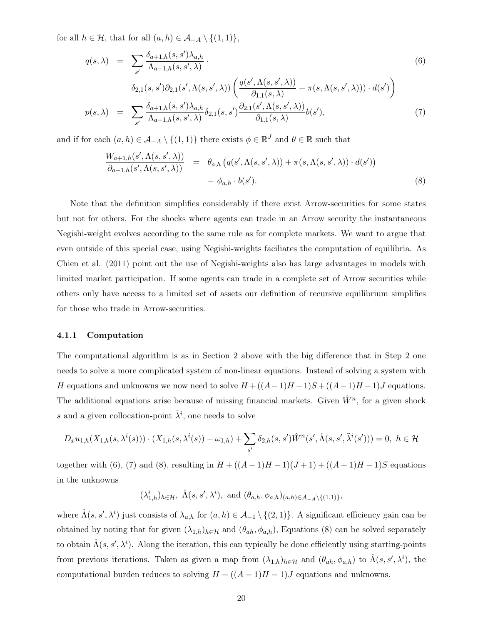for all  $h \in \mathcal{H}$ , that for all  $(a, h) \in \mathcal{A}_{-A} \setminus \{(1, 1)\},\$ 

$$
q(s,\lambda) = \sum_{s'} \frac{\delta_{a+1,h}(s,s')\lambda_{a,h}}{\Lambda_{a+1,h}(s,s',\lambda)} \cdot \qquad (6)
$$
  

$$
\delta_{2,1}(s,s')\partial_{2,1}(s',\Lambda(s,s',\lambda)) \left( \frac{q(s',\Lambda(s,s',\lambda))}{\partial_{1,1}(s,\lambda)} + \pi(s,\Lambda(s,s',\lambda))) \cdot d(s') \right)
$$
  

$$
p(s,\lambda) = \sum_{s'} \frac{\delta_{a+1,h}(s,s')\lambda_{a,h}}{\Lambda_{a+1,h}(s,s',\lambda)} \delta_{2,1}(s,s') \frac{\partial_{2,1}(s',\Lambda(s,s',\lambda))}{\partial_{1,1}(s,\lambda)} b(s'), \qquad (7)
$$

and if for each  $(a, h) \in \mathcal{A}_{-A} \setminus \{(1, 1)\}\$  there exists  $\phi \in \mathbb{R}^J$  and  $\theta \in \mathbb{R}$  such that

$$
\frac{W_{a+1,h}(s',\Lambda(s,s',\lambda))}{\partial_{a+1,h}(s',\Lambda(s,s',\lambda))} = \theta_{a,h}(q(s',\Lambda(s,s',\lambda)) + \pi(s,\Lambda(s,s',\lambda)) \cdot d(s')) + \phi_{a,h} \cdot b(s').
$$
\n(8)

Note that the definition simplifies considerably if there exist Arrow-securities for some states but not for others. For the shocks where agents can trade in an Arrow security the instantaneous Negishi-weight evolves according to the same rule as for complete markets. We want to argue that even outside of this special case, using Negishi-weights faciliates the computation of equilibria. As Chien et al. (2011) point out the use of Negishi-weights also has large advantages in models with limited market participation. If some agents can trade in a complete set of Arrow securities while others only have access to a limited set of assets our definition of recursive equilibrium simplifies for those who trade in Arrow-securities.

#### 4.1.1 Computation

The computational algorithm is as in Section 2 above with the big difference that in Step 2 one needs to solve a more complicated system of non-linear equations. Instead of solving a system with H equations and unknowns we now need to solve  $H + ((A-1)H-1)S + ((A-1)H-1)J$  equations. The additional equations arise because of missing financial markets. Given  $\hat{W}^n$ , for a given shock s and a given collocation-point  $\tilde{\lambda}^i$ , one needs to solve

$$
D_x u_{1,h}(X_{1,h}(s,\lambda^i(s))) \cdot (X_{1,h}(s,\lambda^i(s)) - \omega_{1,h}) + \sum_{s'} \delta_{2,h}(s,s') \hat{W}^n(s',\hat{\Lambda}(s,s',\tilde{\lambda}^i(s'))) = 0, \ h \in \mathcal{H}
$$

together with (6), (7) and (8), resulting in  $H + ((A-1)H-1)(J+1) + ((A-1)H-1)S$  equations in the unknowns

 $(\lambda^i_{1,h})_{h \in \mathcal{H}}, \ \hat{\Lambda}(s,s',\lambda^i), \text{ and } (\theta_{a,h}, \phi_{a,h})_{(a,h) \in \mathcal{A}_{-A} \setminus \{(1,1)\}},$ 

where  $\hat{\Lambda}(s, s', \lambda^i)$  just consists of  $\lambda_{a,h}$  for  $(a, h) \in \mathcal{A}_{-1} \setminus \{(2, 1)\}\.$  A significant efficiency gain can be obtained by noting that for given  $(\lambda_{1,h})_{h\in\mathcal{H}}$  and  $(\theta_{ah}, \phi_{a,h})$ , Equations (8) can be solved separately to obtain  $\hat{\Lambda}(s, s', \lambda^i)$ . Along the iteration, this can typically be done efficiently using starting-points from previous iterations. Taken as given a map from  $(\lambda_{1,h})_{h\in\mathcal{H}}$  and  $(\theta_{ah}, \phi_{a,h})$  to  $\hat{\Lambda}(s, s', \lambda^i)$ , the computational burden reduces to solving  $H + ((A-1)H-1)J$  equations and unknowns.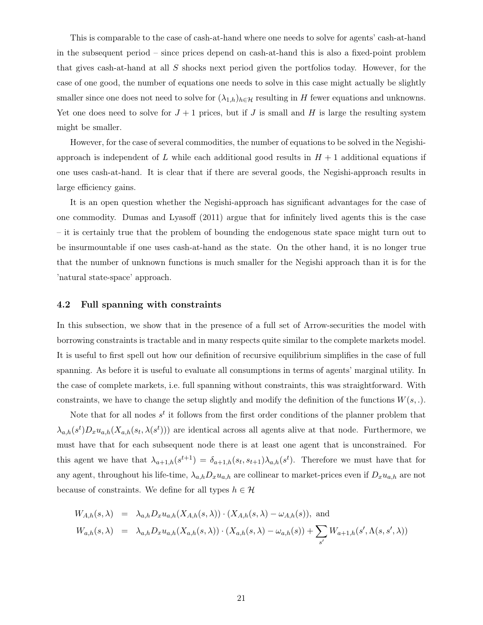This is comparable to the case of cash-at-hand where one needs to solve for agents' cash-at-hand in the subsequent period – since prices depend on cash-at-hand this is also a fixed-point problem that gives cash-at-hand at all S shocks next period given the portfolios today. However, for the case of one good, the number of equations one needs to solve in this case might actually be slightly smaller since one does not need to solve for  $(\lambda_{1,h})_{h\in\mathcal{H}}$  resulting in H fewer equations and unknowns. Yet one does need to solve for  $J + 1$  prices, but if J is small and H is large the resulting system might be smaller.

However, for the case of several commodities, the number of equations to be solved in the Negishiapproach is independent of L while each additional good results in  $H + 1$  additional equations if one uses cash-at-hand. It is clear that if there are several goods, the Negishi-approach results in large efficiency gains.

It is an open question whether the Negishi-approach has significant advantages for the case of one commodity. Dumas and Lyasoff (2011) argue that for infinitely lived agents this is the case – it is certainly true that the problem of bounding the endogenous state space might turn out to be insurmountable if one uses cash-at-hand as the state. On the other hand, it is no longer true that the number of unknown functions is much smaller for the Negishi approach than it is for the 'natural state-space' approach.

## 4.2 Full spanning with constraints

In this subsection, we show that in the presence of a full set of Arrow-securities the model with borrowing constraints is tractable and in many respects quite similar to the complete markets model. It is useful to first spell out how our definition of recursive equilibrium simplifies in the case of full spanning. As before it is useful to evaluate all consumptions in terms of agents' marginal utility. In the case of complete markets, i.e. full spanning without constraints, this was straightforward. With constraints, we have to change the setup slightly and modify the definition of the functions  $W(s, \cdot)$ .

Note that for all nodes  $s^t$  it follows from the first order conditions of the planner problem that  $\lambda_{a,h}(s^t)D_xu_{a,h}(X_{a,h}(s_t,\lambda(s^t)))$  are identical across all agents alive at that node. Furthermore, we must have that for each subsequent node there is at least one agent that is unconstrained. For this agent we have that  $\lambda_{a+1,h}(s^{t+1}) = \delta_{a+1,h}(s_t, s_{t+1})\lambda_{a,h}(s^t)$ . Therefore we must have that for any agent, throughout his life-time,  $\lambda_{a,h}D_xu_{a,h}$  are collinear to market-prices even if  $D_xu_{a,h}$  are not because of constraints. We define for all types  $h \in \mathcal{H}$ 

$$
W_{A,h}(s,\lambda) = \lambda_{a,h} D_x u_{a,h}(X_{A,h}(s,\lambda)) \cdot (X_{A,h}(s,\lambda) - \omega_{A,h}(s)), \text{ and}
$$
  
\n
$$
W_{a,h}(s,\lambda) = \lambda_{a,h} D_x u_{a,h}(X_{a,h}(s,\lambda)) \cdot (X_{a,h}(s,\lambda) - \omega_{a,h}(s)) + \sum_{s'} W_{a+1,h}(s',\Lambda(s,s',\lambda))
$$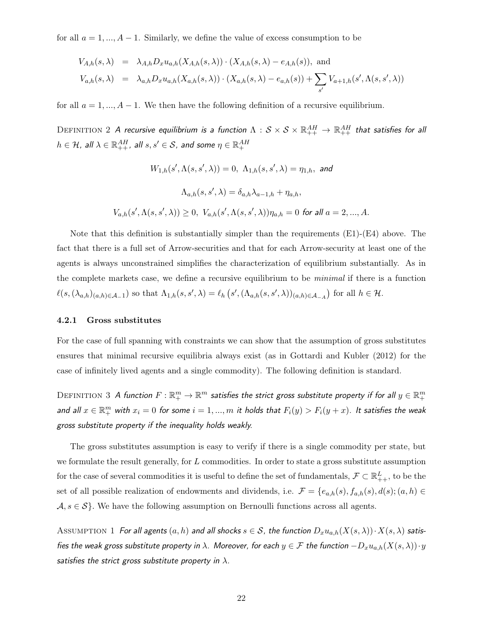for all  $a = 1, ..., A - 1$ . Similarly, we define the value of excess consumption to be

$$
V_{A,h}(s,\lambda) = \lambda_{A,h} D_x u_{a,h}(X_{A,h}(s,\lambda)) \cdot (X_{A,h}(s,\lambda) - e_{A,h}(s)), \text{ and}
$$
  
\n
$$
V_{a,h}(s,\lambda) = \lambda_{a,h} D_x u_{a,h}(X_{a,h}(s,\lambda)) \cdot (X_{a,h}(s,\lambda) - e_{a,h}(s)) + \sum_{s'} V_{a+1,h}(s',\Lambda(s,s',\lambda))
$$

for all  $a = 1, ..., A - 1$ . We then have the following definition of a recursive equilibrium.

DEFINITION 2 A recursive equilibrium is a function  $\Lambda:S\times\mathcal{S}\times\mathbb{R}^{AH}_{++}\to\mathbb{R}^{AH}_{++}$  that satisfies for all  $h\in\mathcal{H}$ , all  $\lambda\in\mathbb{R}^{AH}_{++}$ , all  $s,s'\in\mathcal{S}$ , and some  $\eta\in\mathbb{R}^{AH}_{+}$ 

$$
W_{1,h}(s', \Lambda(s, s', \lambda)) = 0, \ \Lambda_{1,h}(s, s', \lambda) = \eta_{1,h}, \text{ and}
$$

$$
\Lambda_{a,h}(s, s', \lambda) = \delta_{a,h}\lambda_{a-1,h} + \eta_{a,h},
$$

$$
V_{a,h}(s', \Lambda(s, s', \lambda)) \ge 0, \ V_{a,h}(s', \Lambda(s, s', \lambda))\eta_{a,h} = 0 \text{ for all } a = 2, ..., A.
$$

Note that this definition is substantially simpler than the requirements (E1)-(E4) above. The fact that there is a full set of Arrow-securities and that for each Arrow-security at least one of the agents is always unconstrained simplifies the characterization of equilibrium substantially. As in the complete markets case, we define a recursive equilibrium to be minimal if there is a function  $\ell(s,(\lambda_{a,h})_{(a,h)\in\mathcal{A}_{-1}})$  so that  $\Lambda_{1,h}(s,s',\lambda)=\ell_h(s',(\Lambda_{a,h}(s,s',\lambda))_{(a,h)\in\mathcal{A}_{-A}})$  for all  $h\in\mathcal{H}$ .

#### 4.2.1 Gross substitutes

For the case of full spanning with constraints we can show that the assumption of gross substitutes ensures that minimal recursive equilibria always exist (as in Gottardi and Kubler (2012) for the case of infinitely lived agents and a single commodity). The following definition is standard.

DEFINITION 3 A function  $F:\R^m_+\to\R^m$  satisfies the strict gross substitute property if for all  $y\in\R^m_+$ and all  $x \in \mathbb{R}^m_+$  with  $x_i = 0$  for some  $i = 1, ..., m$  it holds that  $F_i(y) > F_i(y + x)$ . It satisfies the weak gross substitute property if the inequality holds weakly.

The gross substitutes assumption is easy to verify if there is a single commodity per state, but we formulate the result generally, for L commodities. In order to state a gross substitute assumption for the case of several commodities it is useful to define the set of fundamentals,  $\mathcal{F} \subset \mathbb{R}^L_{++}$ , to be the set of all possible realization of endowments and dividends, i.e.  $\mathcal{F} = \{e_{a,h}(s), f_{a,h}(s), d(s); (a,h) \in$  $\mathcal{A}, s \in \mathcal{S}$ . We have the following assumption on Bernoulli functions across all agents.

ASSUMPTION 1 For all agents  $(a, h)$  and all shocks  $s \in S$ , the function  $D_x u_{a,h}(X(s, \lambda)) \cdot X(s, \lambda)$  satisfies the weak gross substitute property in  $\lambda$ . Moreover, for each  $y\in\mathcal{F}$  the function  $-D_xu_{a,h}(X(s,\lambda))\cdot y$ satisfies the strict gross substitute property in  $\lambda$ .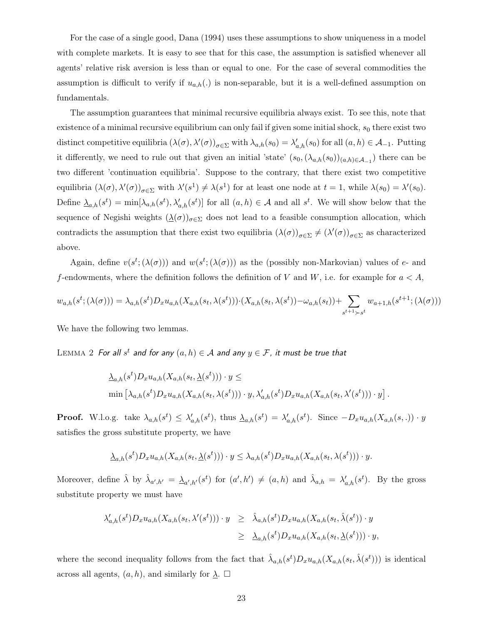For the case of a single good, Dana (1994) uses these assumptions to show uniqueness in a model with complete markets. It is easy to see that for this case, the assumption is satisfied whenever all agents' relative risk aversion is less than or equal to one. For the case of several commodities the assumption is difficult to verify if  $u_{a,h}$ . is non-separable, but it is a well-defined assumption on fundamentals.

The assumption guarantees that minimal recursive equilibria always exist. To see this, note that existence of a minimal recursive equilibrium can only fail if given some initial shock,  $s_0$  there exist two distinct competitive equilibria  $(\lambda(\sigma), \lambda'(\sigma))_{\sigma \in \Sigma}$  with  $\lambda_{a,h}(s_0) = \lambda'_{a,h}(s_0)$  for all  $(a, h) \in \mathcal{A}_{-1}$ . Putting it differently, we need to rule out that given an initial 'state'  $(s_0, (\lambda_{a,h}(s_0))_{(a,h)\in\mathcal{A}_{-1}})$  there can be two different 'continuation equilibria'. Suppose to the contrary, that there exist two competitive equilibria  $(\lambda(\sigma), \lambda'(\sigma))_{\sigma \in \Sigma}$  with  $\lambda'(s^1) \neq \lambda(s^1)$  for at least one node at  $t = 1$ , while  $\lambda(s_0) = \lambda'(s_0)$ . Define  $\underline{\lambda}_{a,h}(s^t) = \min[\lambda_{a,h}(s^t), \lambda'_{a,h}(s^t)]$  for all  $(a, h) \in \mathcal{A}$  and all  $s^t$ . We will show below that the sequence of Negishi weights  $(\underline{\lambda}(\sigma))_{\sigma \in \Sigma}$  does not lead to a feasible consumption allocation, which contradicts the assumption that there exist two equilibria  $(\lambda(\sigma))_{\sigma \in \Sigma} \neq (\lambda'(\sigma))_{\sigma \in \Sigma}$  as characterized above.

Again, define  $v(s^t; (\lambda(\sigma)))$  and  $w(s^t; (\lambda(\sigma)))$  as the (possibly non-Markovian) values of e- and f-endowments, where the definition follows the definition of V and W, i.e. for example for  $a < A$ ,

$$
w_{a,h}(s^t; (\lambda(\sigma))) = \lambda_{a,h}(s^t) D_x u_{a,h}(X_{a,h}(s_t, \lambda(s^t))) \cdot (X_{a,h}(s_t, \lambda(s^t)) - \omega_{a,h}(s_t)) + \sum_{s^{t+1} > s^t} w_{a+1,h}(s^{t+1}; (\lambda(\sigma)))
$$

We have the following two lemmas.

 $2$  **For all**  $s^t$  **and for any**  $(a,h) \in \mathcal{A}$  **and any**  $y \in \mathcal{F}$ **, it must be true that** 

$$
\begin{aligned} &\underline{\lambda}_{a,h}(s^t)D_xu_{a,h}(X_{a,h}(s_t,\underline{\lambda}(s^t)))\cdot y \leq \\ &\min\left[\lambda_{a,h}(s^t)D_xu_{a,h}(X_{a,h}(s_t,\lambda(s^t)))\cdot y,\lambda'_{a,h}(s^t)D_xu_{a,h}(X_{a,h}(s_t,\lambda'(s^t)))\cdot y\right]. \end{aligned}
$$

**Proof.** W.l.o.g. take  $\lambda_{a,h}(s^t) \leq \lambda'_{a,h}(s^t)$ , thus  $\underline{\lambda}_{a,h}(s^t) = \lambda'_{a,h}(s^t)$ . Since  $-D_xu_{a,h}(X_{a,h}(s,.)) \cdot y$ satisfies the gross substitute property, we have

$$
\underline{\lambda}_{a,h}(s^t)D_xu_{a,h}(X_{a,h}(s_t,\underline{\lambda}(s^t)))\cdot y\leq \lambda_{a,h}(s^t)D_xu_{a,h}(X_{a,h}(s_t,\lambda(s^t)))\cdot y.
$$

Moreover, define  $\hat{\lambda}$  by  $\hat{\lambda}_{a',h'} = \underline{\lambda}_{a',h'}(s^t)$  for  $(a',h') \neq (a,h)$  and  $\hat{\lambda}_{a,h} = \lambda'_{a,h}(s^t)$ . By the gross substitute property we must have

$$
\lambda'_{a,h}(s^t)D_x u_{a,h}(X_{a,h}(s_t,\lambda'(s^t))) \cdot y \geq \hat{\lambda}_{a,h}(s^t)D_x u_{a,h}(X_{a,h}(s_t,\hat{\lambda}(s^t)) \cdot y
$$
  

$$
\geq \hat{\lambda}_{a,h}(s^t)D_x u_{a,h}(X_{a,h}(s_t,\hat{\lambda}(s^t))) \cdot y,
$$

where the second inequality follows from the fact that  $\hat{\lambda}_{a,h}(s^t)D_xu_{a,h}(X_{a,h}(s_t,\hat{\lambda}(s^t)))$  is identical across all agents,  $(a, h)$ , and similarly for  $\lambda$ .  $\square$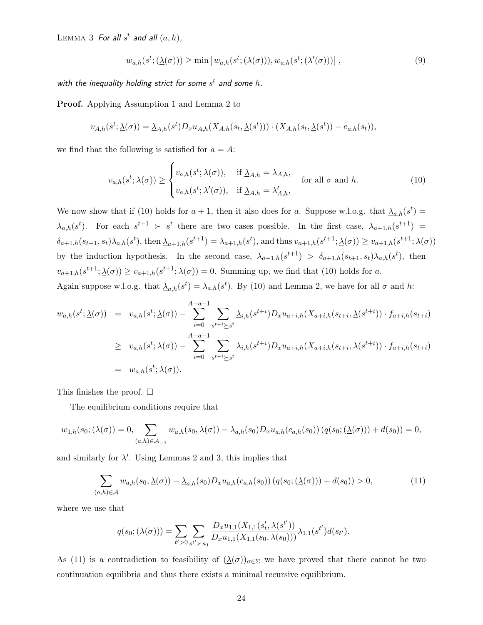LEMMA 3 For all  $s^t$  and all  $(a, h)$ ,

$$
w_{a,h}(s^t; (\underline{\lambda}(\sigma))) \ge \min \left[ w_{a,h}(s^t; (\lambda(\sigma))), w_{a,h}(s^t; (\lambda'(\sigma))) \right],
$$
\n<sup>(9)</sup>

with the inequality holding strict for some  $s^t$  and some  $h$ .

Proof. Applying Assumption 1 and Lemma 2 to

$$
v_{A,h}(s^t; \underline{\lambda}(\sigma)) = \underline{\lambda}_{A,h}(s^t) D_x u_{A,h}(X_{A,h}(s_t, \underline{\lambda}(s^t))) \cdot (X_{A,h}(s_t, \underline{\lambda}(s^t)) - e_{a,h}(s_t)),
$$

we find that the following is satisfied for  $a = A$ :

$$
v_{a,h}(s^t; \underline{\lambda}(\sigma)) \ge \begin{cases} v_{a,h}(s^t; \lambda(\sigma)), & \text{if } \underline{\lambda}_{A,h} = \lambda_{A,h}, \\ v_{a,h}(s^t; \lambda'(\sigma)), & \text{if } \underline{\lambda}_{A,h} = \lambda'_{A,h}, \end{cases} \text{ for all } \sigma \text{ and } h. \tag{10}
$$

We now show that if (10) holds for  $a + 1$ , then it also does for a. Suppose w.l.o.g. that  $\Delta_{a,h}(s^t) =$  $\lambda_{a,h}(s^t)$ . For each  $s^{t+1} > s^t$  there are two cases possible. In the first case,  $\lambda_{a+1,h}(s^{t+1}) =$  $\delta_{a+1,h}(s_{t+1}, s_t) \lambda_{a,h}(s^t)$ , then  $\underline{\lambda}_{a+1,h}(s^{t+1}) = \lambda_{a+1,h}(s^t)$ , and thus  $v_{a+1,h}(s^{t+1}; \underline{\lambda}(\sigma)) \ge v_{a+1,h}(s^{t+1}; \lambda(\sigma))$ by the induction hypothesis. In the second case,  $\lambda_{a+1,h}(s^{t+1}) > \delta_{a+1,h}(s_{t+1}, s_t) \lambda_{a,h}(s^t)$ , then  $v_{a+1,h}(s^{t+1};\underline{\lambda}(\sigma)) \ge v_{a+1,h}(s^{t+1};\lambda(\sigma)) = 0.$  Summing up, we find that (10) holds for a. Again suppose w.l.o.g. that  $\underline{\lambda}_{a,h}(s^t) = \lambda_{a,h}(s^t)$ . By (10) and Lemma 2, we have for all  $\sigma$  and h:

$$
w_{a,h}(s^t; \underline{\lambda}(\sigma)) = v_{a,h}(s^t; \underline{\lambda}(\sigma)) - \sum_{i=0}^{A-a-1} \sum_{s^{t+i} \ge s^t} \underline{\lambda}_{i,h}(s^{t+i}) D_x u_{a+i,h}(X_{a+i,h}(s_{t+i}, \underline{\lambda}(s^{t+i})) \cdot f_{a+i,h}(s_{t+i})
$$
  
\n
$$
\ge v_{a,h}(s^t; \lambda(\sigma)) - \sum_{i=0}^{A-a-1} \sum_{s^{t+i} \ge s^t} \lambda_{i,h}(s^{t+i}) D_x u_{a+i,h}(X_{a+i,h}(s_{t+i}, \lambda(s^{t+i})) \cdot f_{a+i,h}(s_{t+i})
$$
  
\n
$$
= w_{a,h}(s^t; \lambda(\sigma)).
$$

This finishes the proof.  $\square$ 

The equilibrium conditions require that

$$
w_{1,h}(s_0; (\lambda(\sigma))) = 0, \sum_{(a,h)\in\mathcal{A}_{-1}} w_{a,h}(s_0, \lambda(\sigma)) - \lambda_{a,h}(s_0)D_x u_{a,h}(c_{a,h}(s_0)) (q(s_0; (\lambda(\sigma))) + d(s_0)) = 0,
$$

and similarly for  $\lambda'$ . Using Lemmas 2 and 3, this implies that

$$
\sum_{(a,h)\in\mathcal{A}} w_{a,h}(s_0, \underline{\lambda}(\sigma)) - \underline{\lambda}_{a,h}(s_0) D_x u_{a,h}(c_{a,h}(s_0)) (q(s_0; (\underline{\lambda}(\sigma))) + d(s_0)) > 0,
$$
\n(11)

where we use that

$$
q(s_0; (\lambda(\sigma))) = \sum_{t'>0} \sum_{s^{t'} > s_0} \frac{D_x u_{1,1}(X_{1,1}(s'_t, \lambda(s^{t'}))}{D_x u_{1,1}(X_{1,1}(s_0, \lambda(s_0)))} \lambda_{1,1}(s^{t'}) d(s_{t'}).
$$

As (11) is a contradiction to feasibility of  $(\underline{\lambda}(\sigma))_{\sigma \in \Sigma}$  we have proved that there cannot be two continuation equilibria and thus there exists a minimal recursive equilibrium.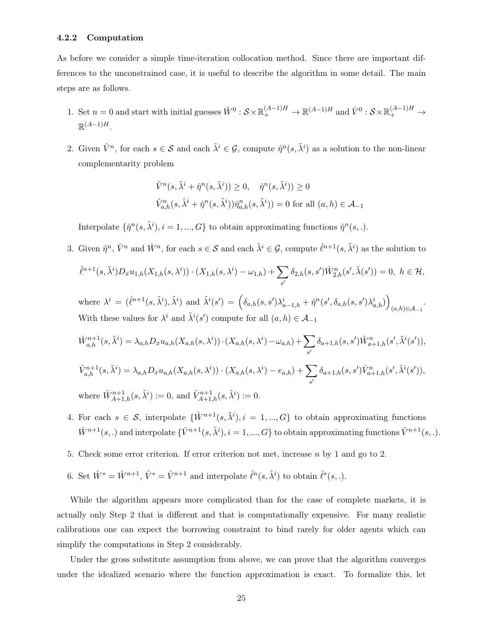## 4.2.2 Computation

As before we consider a simple time-iteration collocation method. Since there are important differences to the unconstrained case, it is useful to describe the algorithm in some detail. The main steps are as follows.

- 1. Set  $n=0$  and start with initial guesses  $\hat{W}^0$  :  $S \times \mathbb{R}^{(A-1)H}_+ \to \mathbb{R}^{(A-1)H}$  and  $\hat{V}^0$  :  $S \times \mathbb{R}^{(A-1)H}_+ \to$  $\mathbb{R}^{(A-1)H}$ .
- 2. Given  $\hat{V}^n$ , for each  $s \in \mathcal{S}$  and each  $\tilde{\lambda}^i \in \mathcal{G}$ , compute  $\hat{\eta}^n(s, \tilde{\lambda}^i)$  as a solution to the non-linear complementarity problem

$$
\hat{V}^n(s, \tilde{\lambda}^i + \hat{\eta}^n(s, \tilde{\lambda}^i)) \ge 0, \quad \hat{\eta}^n(s, \tilde{\lambda}^i)) \ge 0
$$
  

$$
\hat{V}^n_{a,h}(s, \tilde{\lambda}^i + \hat{\eta}^n(s, \tilde{\lambda}^i))\hat{\eta}^n_{a,h}(s, \tilde{\lambda}^i)) = 0 \text{ for all } (a, h) \in \mathcal{A}_{-1}
$$

Interpolate  $\{\hat{\eta}^n(s, \tilde{\lambda}^i), i = 1, ..., G\}$  to obtain approximating functions  $\hat{\eta}^n(s, \cdot)$ .

3. Given  $\hat{\eta}^n$ ,  $\hat{V}^n$  and  $\hat{W}^n$ , for each  $s \in \mathcal{S}$  and each  $\tilde{\lambda}^i \in \mathcal{G}$ , compute  $\hat{\ell}^{n+1}(s, \tilde{\lambda}^i)$  as the solution to  $\hat{\ell}^{n+1}(s,\tilde{\lambda}^i)D_xu_{1,h}(X_{1,h}(s,\lambda^i))\cdot(X_{1,h}(s,\lambda^i)-\omega_{1,h})+\sum\limits_{\sigma}$  $\delta_{2,h}(s,s')\hat{W}_{2,h}^n(s',\tilde{\lambda}(s'))=0, \,\,h\in \mathcal{H},$ 

where 
$$
\lambda^{i} = (\hat{\ell}^{n+1}(s, \tilde{\lambda}^{i}), \tilde{\lambda}^{i})
$$
 and  $\tilde{\lambda}^{i}(s') = (\delta_{a,h}(s, s')\lambda_{a-1,h}^{i} + \hat{\eta}^{n}(s', \delta_{a,h}(s, s')\lambda_{a,h}^{i}))_{(a,h) \in \mathcal{A}_{-1}}.$ 

With these values for 
$$
\lambda^i
$$
 and  $\tilde{\lambda}^i(s')$  compute for all  $(a, h) \in \mathcal{A}_{-1}$   
\n
$$
\hat{W}_{a,h}^{n+1}(s, \tilde{\lambda}^i) = \lambda_{a,h} D_x u_{a,h}(X_{a,h}(s, \lambda^i)) \cdot (X_{a,h}(s, \lambda^i) - \omega_{a,h}) + \sum_{s'} \delta_{a+1,h}(s, s') \hat{W}_{a+1,h}^n(s', \tilde{\lambda}^i(s')),
$$
\n
$$
\hat{V}_{a,h}^{n+1}(s, \tilde{\lambda}^i) = \lambda_{a,h} D_x u_{a,h}(X_{a,h}(s, \lambda^i)) \cdot (X_{a,h}(s, \lambda^i) - e_{a,h}) + \sum_{s'} \delta_{a+1,h}(s, s') \hat{V}_{a+1,h}^n(s', \tilde{\lambda}^i(s')),
$$

 $s'$ 

where  $\hat{W}_{A+1,h}^{n+1}(s,\tilde{\lambda}^i) := 0$ , and  $\hat{V}_{A+1,h}^{n+1}(s,\tilde{\lambda}^i) := 0$ .

- 4. For each  $s \in \mathcal{S}$ , interpolate  $\{\hat{W}^{n+1}(s, \tilde{\lambda}^i), i = 1, ..., G\}$  to obtain approximating functions  $\hat{W}^{n+1}(s,.)$  and interpolate  $\{\hat{V}^{n+1}(s,\tilde{\lambda}^i), i=1,...,G\}$  to obtain approximating functions  $\hat{V}^{n+1}(s,.)$ .
- 5. Check some error criterion. If error criterion not met, increase  $n$  by 1 and go to 2.
- 6. Set  $\hat{W}^* = \hat{W}^{n+1}$ ,  $\hat{V}^* = \hat{V}^{n+1}$  and interpolate  $\hat{\ell}^n(s, \tilde{\lambda}^i)$  to obtain  $\hat{\ell}^*(s, \cdot)$ .

While the algorithm appears more complicated than for the case of complete markets, it is actually only Step 2 that is different and that is computationally expensive. For many realistic calibrations one can expect the borrowing constraint to bind rarely for older agents which can simplify the computations in Step 2 considerably.

Under the gross substitute assumption from above, we can prove that the algorithm converges under the idealized scenario where the function approximation is exact. To formalize this, let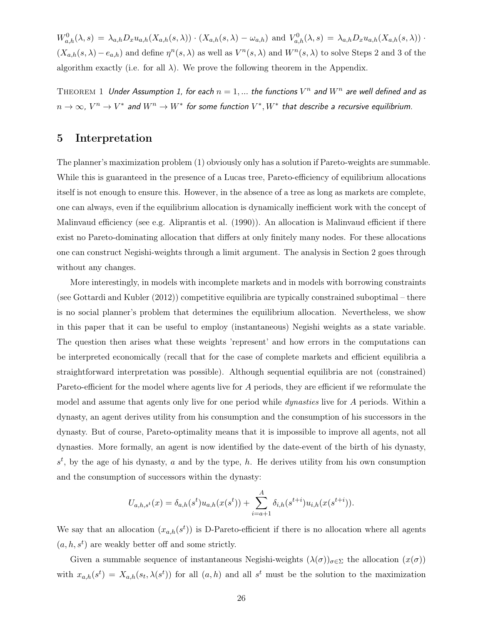$W_{a,h}^0(\lambda,s) = \lambda_{a,h} D_x u_{a,h}(X_{a,h}(s,\lambda)) \cdot (X_{a,h}(s,\lambda) - \omega_{a,h})$  and  $V_{a,h}^0(\lambda,s) = \lambda_{a,h} D_x u_{a,h}(X_{a,h}(s,\lambda))$ .  $(X_{a,h}(s,\lambda)-e_{a,h})$  and define  $\eta^{n}(s,\lambda)$  as well as  $V^{n}(s,\lambda)$  and  $W^{n}(s,\lambda)$  to solve Steps 2 and 3 of the algorithm exactly (i.e. for all  $\lambda$ ). We prove the following theorem in the Appendix.

THEOREM 1 Under Assumption 1, for each  $n = 1,...$  the functions  $V^n$  and  $W^n$  are well defined and as  $n \to \infty$ ,  $V^n \to V^*$  and  $W^n \to W^*$  for some function  $V^*, W^*$  that describe a recursive equilibrium.

# 5 Interpretation

The planner's maximization problem (1) obviously only has a solution if Pareto-weights are summable. While this is guaranteed in the presence of a Lucas tree, Pareto-efficiency of equilibrium allocations itself is not enough to ensure this. However, in the absence of a tree as long as markets are complete, one can always, even if the equilibrium allocation is dynamically inefficient work with the concept of Malinvaud efficiency (see e.g. Aliprantis et al. (1990)). An allocation is Malinvaud efficient if there exist no Pareto-dominating allocation that differs at only finitely many nodes. For these allocations one can construct Negishi-weights through a limit argument. The analysis in Section 2 goes through without any changes.

More interestingly, in models with incomplete markets and in models with borrowing constraints (see Gottardi and Kubler (2012)) competitive equilibria are typically constrained suboptimal – there is no social planner's problem that determines the equilibrium allocation. Nevertheless, we show in this paper that it can be useful to employ (instantaneous) Negishi weights as a state variable. The question then arises what these weights 'represent' and how errors in the computations can be interpreted economically (recall that for the case of complete markets and efficient equilibria a straightforward interpretation was possible). Although sequential equilibria are not (constrained) Pareto-efficient for the model where agents live for A periods, they are efficient if we reformulate the model and assume that agents only live for one period while *dynasties* live for A periods. Within a dynasty, an agent derives utility from his consumption and the consumption of his successors in the dynasty. But of course, Pareto-optimality means that it is impossible to improve all agents, not all dynasties. More formally, an agent is now identified by the date-event of the birth of his dynasty,  $s<sup>t</sup>$ , by the age of his dynasty, a and by the type, h. He derives utility from his own consumption and the consumption of successors within the dynasty:

$$
U_{a,h,s^t}(x) = \delta_{a,h}(s^t)u_{a,h}(x(s^t)) + \sum_{i=a+1}^A \delta_{i,h}(s^{t+i})u_{i,h}(x(s^{t+i})).
$$

We say that an allocation  $(x_{a,h}(s^t))$  is D-Pareto-efficient if there is no allocation where all agents  $(a, h, s<sup>t</sup>)$  are weakly better off and some strictly.

Given a summable sequence of instantaneous Negishi-weights  $(\lambda(\sigma))_{\sigma \in \Sigma}$  the allocation  $(x(\sigma))$ with  $x_{a,h}(s^t) = X_{a,h}(s_t, \lambda(s^t))$  for all  $(a, h)$  and all  $s^t$  must be the solution to the maximization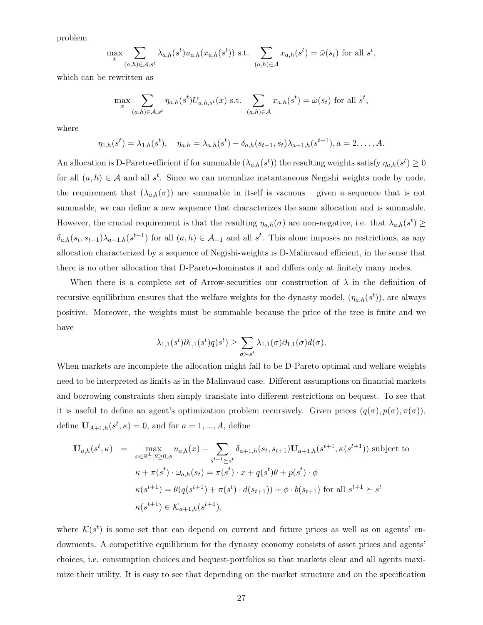problem

$$
\max_{x} \sum_{(a,h)\in\mathcal{A},s^t} \lambda_{a,h}(s^t) u_{a,h}(x_{a,h}(s^t)) \text{ s.t. } \sum_{(a,h)\in\mathcal{A}} x_{a,h}(s^t) = \bar{\omega}(s_t) \text{ for all } s^t,
$$

which can be rewritten as

$$
\max_{x} \sum_{(a,h)\in\mathcal{A},s^t} \eta_{a,h}(s^t) U_{a,h,s^t}(x) \text{ s.t. } \sum_{(a,h)\in\mathcal{A}} x_{a,h}(s^t) = \bar{\omega}(s_t) \text{ for all } s^t,
$$

where

$$
\eta_{1,h}(s^t) = \lambda_{1,h}(s^t), \quad \eta_{a,h} = \lambda_{a,h}(s^t) - \delta_{a,h}(s_{t-1}, s_t)\lambda_{a-1,h}(s^{t-1}), a = 2, \ldots, A.
$$

An allocation is D-Pareto-efficient if for summable  $(\lambda_{a,h}(s^t))$  the resulting weights satisfy  $\eta_{a,h}(s^t) \ge 0$ for all  $(a, h) \in \mathcal{A}$  and all  $s^t$ . Since we can normalize instantaneous Negishi weights node by node, the requirement that  $(\lambda_{a,h}(\sigma))$  are summable in itself is vacuous – given a sequence that is not summable, we can define a new sequence that characterizes the same allocation and is summable. However, the crucial requirement is that the resulting  $\eta_{a,h}(\sigma)$  are non-negative, i.e. that  $\lambda_{a,h}(s^t) \geq$  $\delta_{a,h}(s_t, s_{t-1})\lambda_{a-1,h}(s^{t-1})$  for all  $(a, h) \in \mathcal{A}_{-1}$  and all  $s^t$ . This alone imposes no restrictions, as any allocation characterized by a sequence of Negishi-weights is D-Malinvaud efficient, in the sense that there is no other allocation that D-Pareto-dominates it and differs only at finitely many nodes.

When there is a complete set of Arrow-securities our construction of  $\lambda$  in the definition of recursive equilibrium ensures that the welfare weights for the dynasty model,  $(\eta_{a,h}(s^t))$ , are always positive. Moreover, the weights must be summable because the price of the tree is finite and we have

$$
\lambda_{1,1}(s^t)\partial_{1,1}(s^t)q(s^t) \ge \sum_{\sigma \succ s^t} \lambda_{1,1}(\sigma)\partial_{1,1}(\sigma)d(\sigma).
$$

When markets are incomplete the allocation might fail to be D-Pareto optimal and welfare weights need to be interpreted as limits as in the Malinvaud case. Different assumptions on financial markets and borrowing constraints then simply translate into different restrictions on bequest. To see that it is useful to define an agent's optimization problem recursively. Given prices  $(q(\sigma), p(\sigma), \pi(\sigma))$ , define  $U_{A+1,h}(s^t, \kappa) = 0$ , and for  $a = 1, ..., A$ , define

$$
\mathbf{U}_{a,h}(s^t,\kappa) = \max_{x \in \mathbb{R}_+^L, \theta \ge 0, \phi} u_{a,h}(x) + \sum_{s^{t+1} \ge s^t} \delta_{a+1,h}(s_t, s_{t+1}) \mathbf{U}_{a+1,h}(s^{t+1}, \kappa(s^{t+1})) \text{ subject to}
$$
\n
$$
\kappa + \pi(s^t) \cdot \omega_{a,h}(s_t) = \pi(s^t) \cdot x + q(s^t)\theta + p(s^t) \cdot \phi
$$
\n
$$
\kappa(s^{t+1}) = \theta(q(s^{t+1}) + \pi(s^t) \cdot d(s_{t+1})) + \phi \cdot b(s_{t+1}) \text{ for all } s^{t+1} \ge s^t
$$
\n
$$
\kappa(s^{t+1}) \in \mathcal{K}_{a+1,h}(s^{t+1}),
$$

where  $\mathcal{K}(s^t)$  is some set that can depend on current and future prices as well as on agents' endowments. A competitive equilibrium for the dynasty economy consists of asset prices and agents' choices, i.e. consumption choices and bequest-portfolios so that markets clear and all agents maximize their utility. It is easy to see that depending on the market structure and on the specification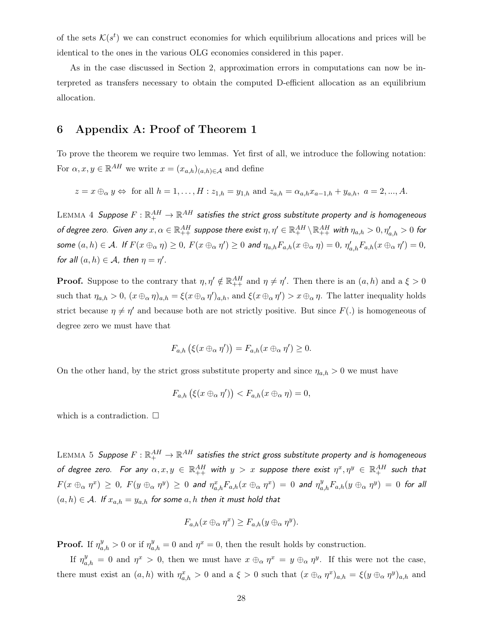of the sets  $\mathcal{K}(s^t)$  we can construct economies for which equilibrium allocations and prices will be identical to the ones in the various OLG economies considered in this paper.

As in the case discussed in Section 2, approximation errors in computations can now be interpreted as transfers necessary to obtain the computed D-efficient allocation as an equilibrium allocation.

# 6 Appendix A: Proof of Theorem 1

To prove the theorem we require two lemmas. Yet first of all, we introduce the following notation: For  $\alpha, x, y \in \mathbb{R}^{AH}$  we write  $x = (x_{a,h})_{(a,h)\in\mathcal{A}}$  and define

$$
z = x \oplus_{\alpha} y \Leftrightarrow \text{ for all } h = 1, \dots, H : z_{1,h} = y_{1,h} \text{ and } z_{a,h} = \alpha_{a,h} x_{a-1,h} + y_{a,h}, \ a = 2, \dots, A.
$$

 ${\rm LEMMA}$   $4\;$  Suppose  $F: \R^{AH}_+ \to \R^{AH}$  satisfies the strict gross substitute property and is homogeneous of degree zero. Given any  $x,\alpha\in\mathbb{R}_{++}^{AH}$  suppose there exist  $\eta,\eta'\in\mathbb{R}_{+}^{AH}\setminus\mathbb{R}_{++}^{AH}$  with  $\eta_{a,h}>0,\eta'_{a,h}>0$  for some  $(a, h) \in \mathcal{A}$ . If  $F(x \oplus_{\alpha} \eta) \ge 0$ ,  $F(x \oplus_{\alpha} \eta') \ge 0$  and  $\eta_{a,h} F_{a,h}(x \oplus_{\alpha} \eta) = 0$ ,  $\eta'_{a,h} F_{a,h}(x \oplus_{\alpha} \eta') = 0$ , for all  $(a, h) \in \mathcal{A}$ , then  $\eta = \eta'$ .

**Proof.** Suppose to the contrary that  $\eta, \eta' \notin \mathbb{R}_{++}^{AH}$  and  $\eta \neq \eta'$ . Then there is an  $(a, h)$  and a  $\xi > 0$ such that  $\eta_{a,h} > 0$ ,  $(x \oplus_{\alpha} \eta)_{a,h} = \xi(x \oplus_{\alpha} \eta')_{a,h}$ , and  $\xi(x \oplus_{\alpha} \eta') > x \oplus_{\alpha} \eta$ . The latter inequality holds strict because  $\eta \neq \eta'$  and because both are not strictly positive. But since  $F(.)$  is homogeneous of degree zero we must have that

$$
F_{a,h}(\xi(x\oplus_\alpha \eta'))=F_{a,h}(x\oplus_\alpha \eta')\geq 0.
$$

On the other hand, by the strict gross substitute property and since  $\eta_{a,h} > 0$  we must have

$$
F_{a,h}(\xi(x\oplus_\alpha \eta')) < F_{a,h}(x\oplus_\alpha \eta) = 0,
$$

which is a contradiction.  $\square$ 

 ${\rm LEMMA}$   $5\;$  Suppose  $F: \mathbb{R}^{AH}_+ \to \mathbb{R}^{AH}$  satisfies the strict gross substitute property and is homogeneous of degree zero. For any  $\alpha,x,y\,\in\,\mathbb{R}^{AH}_{++}$  with  $y\,>\,x$  suppose there exist  $\eta^x,\eta^y\,\in\,\mathbb{R}^{AH}_{+}$  such that  $F(x \oplus_{\alpha} \eta^x) \ge 0$ ,  $F(y \oplus_{\alpha} \eta^y) \ge 0$  and  $\eta^x_{a,h}F_{a,h}(x \oplus_{\alpha} \eta^x) = 0$  and  $\eta^y_{a,h}F_{a,h}(y \oplus_{\alpha} \eta^y) = 0$  for all  $(a, h) \in \mathcal{A}$ . If  $x_{a,h} = y_{a,h}$  for some  $a, h$  then it must hold that

$$
F_{a,h}(x \oplus_{\alpha} \eta^x) \ge F_{a,h}(y \oplus_{\alpha} \eta^y).
$$

**Proof.** If  $\eta_{a,h}^y > 0$  or if  $\eta_{a,h}^y = 0$  and  $\eta^x = 0$ , then the result holds by construction.

If  $\eta_{a,h}^y = 0$  and  $\eta^x > 0$ , then we must have  $x \oplus_{\alpha} \eta^x = y \oplus_{\alpha} \eta^y$ . If this were not the case, there must exist an  $(a, h)$  with  $\eta_{a,h}^x > 0$  and a  $\xi > 0$  such that  $(x \oplus_{\alpha} \eta^x)_{a,h} = \xi(y \oplus_{\alpha} \eta^y)_{a,h}$  and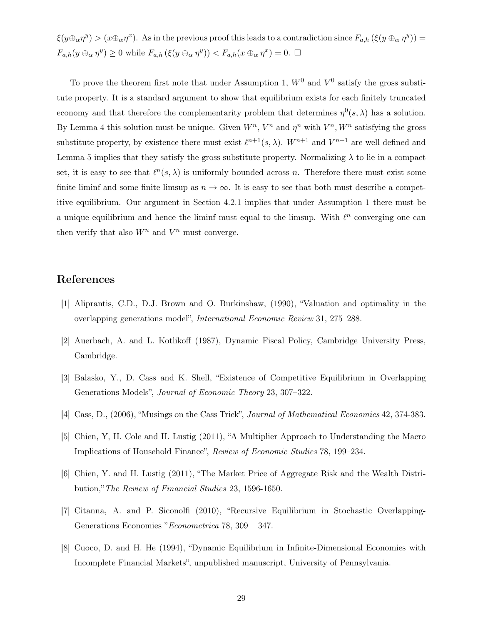$\xi(y \oplus_\alpha \eta^y) > (x \oplus_\alpha \eta^x)$ . As in the previous proof this leads to a contradiction since  $F_{a,h}(\xi(y \oplus_\alpha \eta^y)) =$  $F_{a,h}(y \oplus_{\alpha} \eta^y) \ge 0$  while  $F_{a,h}(\xi(y \oplus_{\alpha} \eta^y)) < F_{a,h}(x \oplus_{\alpha} \eta^x) = 0.$ 

To prove the theorem first note that under Assumption 1,  $W^0$  and  $V^0$  satisfy the gross substitute property. It is a standard argument to show that equilibrium exists for each finitely truncated economy and that therefore the complementarity problem that determines  $\eta^0(s,\lambda)$  has a solution. By Lemma 4 this solution must be unique. Given  $W^n$ ,  $V^n$  and  $\eta^n$  with  $V^n$ ,  $W^n$  satisfying the gross substitute property, by existence there must exist  $\ell^{n+1}(s, \lambda)$ .  $W^{n+1}$  and  $V^{n+1}$  are well defined and Lemma 5 implies that they satisfy the gross substitute property. Normalizing  $\lambda$  to lie in a compact set, it is easy to see that  $\ell^{n}(s, \lambda)$  is uniformly bounded across n. Therefore there must exist some finite liminf and some finite limsup as  $n \to \infty$ . It is easy to see that both must describe a competitive equilibrium. Our argument in Section 4.2.1 implies that under Assumption 1 there must be a unique equilibrium and hence the liminf must equal to the limsup. With  $\ell^n$  converging one can then verify that also  $W^n$  and  $V^n$  must converge.

# References

- [1] Aliprantis, C.D., D.J. Brown and O. Burkinshaw, (1990), "Valuation and optimality in the overlapping generations model", International Economic Review 31, 275–288.
- [2] Auerbach, A. and L. Kotlikoff (1987), Dynamic Fiscal Policy, Cambridge University Press, Cambridge.
- [3] Balasko, Y., D. Cass and K. Shell, "Existence of Competitive Equilibrium in Overlapping Generations Models", Journal of Economic Theory 23, 307–322.
- [4] Cass, D., (2006), "Musings on the Cass Trick", Journal of Mathematical Economics 42, 374-383.
- [5] Chien, Y, H. Cole and H. Lustig (2011), "A Multiplier Approach to Understanding the Macro Implications of Household Finance", Review of Economic Studies 78, 199–234.
- [6] Chien, Y. and H. Lustig (2011), "The Market Price of Aggregate Risk and the Wealth Distribution,"The Review of Financial Studies 23, 1596-1650.
- [7] Citanna, A. and P. Siconolfi (2010), "Recursive Equilibrium in Stochastic Overlapping-Generations Economies "Econometrica 78, 309 – 347.
- [8] Cuoco, D. and H. He (1994), "Dynamic Equilibrium in Infinite-Dimensional Economies with Incomplete Financial Markets", unpublished manuscript, University of Pennsylvania.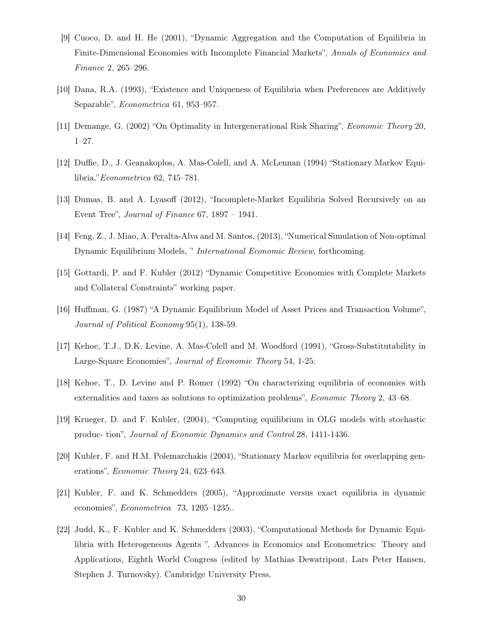- [9] Cuoco, D. and H. He (2001), "Dynamic Aggregation and the Computation of Equilibria in Finite-Dimensional Economies with Incomplete Financial Markets", Annals of Economics and Finance 2, 265–296.
- [10] Dana, R.A. (1993), "Existence and Uniqueness of Equilibria when Preferences are Additively Separable", Econometrica 61, 953–957.
- [11] Demange, G. (2002) "On Optimality in Intergenerational Risk Sharing", Economic Theory 20, 1–27.
- [12] Duffie, D., J. Geanakoplos, A. Mas-Colell, and A. McLennan (1994) "Stationary Markov Equilibria,"Econometrica 62, 745–781.
- [13] Dumas, B. and A. Lyasoff (2012), "Incomplete-Market Equilibria Solved Recursively on an Event Tree", Journal of Finance 67, 1897 – 1941.
- [14] Feng, Z., J. Miao, A. Peralta-Alva and M. Santos, (2013), "Numerical Simulation of Non-optimal Dynamic Equilibrium Models, " International Economic Review, forthcoming.
- [15] Gottardi, P. and F. Kubler (2012) "Dynamic Competitive Economies with Complete Markets and Collateral Constraints" working paper.
- [16] Huffman, G. (1987) "A Dynamic Equilibrium Model of Asset Prices and Transaction Volume", Journal of Political Economy 95(1), 138-59.
- [17] Kehoe, T.J., D.K. Levine, A. Mas-Colell and M. Woodford (1991), "Gross-Substitutability in Large-Square Economies", Journal of Economic Theory 54, 1-25.
- [18] Kehoe, T., D. Levine and P. Romer (1992) "On characterizing equilibria of economies with externalities and taxes as solutions to optimization problems", Economic Theory 2, 43–68.
- [19] Krueger, D. and F. Kubler, (2004), "Computing equilibrium in OLG models with stochastic produc- tion", Journal of Economic Dynamics and Control 28, 1411-1436.
- [20] Kubler, F. and H.M. Polemarchakis (2004), "Stationary Markov equilibria for overlapping generations", Economic Theory 24, 623–643.
- [21] Kubler, F. and K. Schmedders (2005), "Approximate versus exact equilibria in dynamic economies", Econometrica 73, 1205–1235..
- [22] Judd, K., F. Kubler and K. Schmedders (2003), "Computational Methods for Dynamic Equilibria with Heterogeneous Agents ", Advances in Economics and Econometrics: Theory and Applications, Eighth World Congress (edited by Mathias Dewatripont, Lars Peter Hansen, Stephen J. Turnovsky). Cambridge University Press.